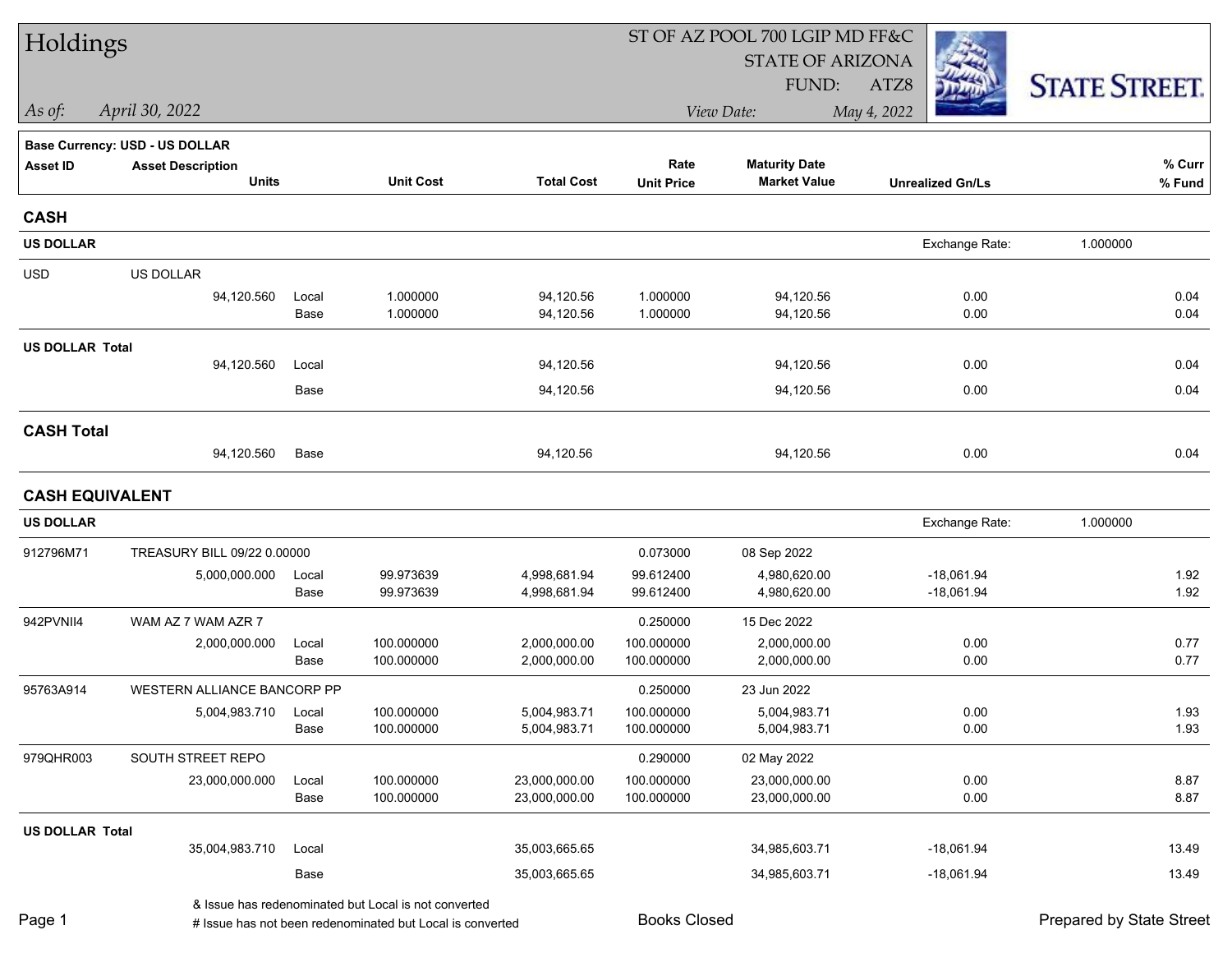| Holdings               |                                |               |                                                           |                              | ST OF AZ POOL 700 LGIP MD FF&C |                              |                         |                          |  |
|------------------------|--------------------------------|---------------|-----------------------------------------------------------|------------------------------|--------------------------------|------------------------------|-------------------------|--------------------------|--|
|                        |                                |               |                                                           |                              |                                | <b>STATE OF ARIZONA</b>      |                         |                          |  |
|                        |                                |               |                                                           |                              |                                | FUND:                        | ATZ8                    | <b>STATE STREET.</b>     |  |
| As of:                 | April 30, 2022                 |               |                                                           |                              |                                | View Date:                   | May 4, 2022             |                          |  |
|                        | Base Currency: USD - US DOLLAR |               |                                                           |                              |                                |                              |                         |                          |  |
| <b>Asset ID</b>        | <b>Asset Description</b>       |               |                                                           |                              | Rate                           | <b>Maturity Date</b>         |                         | % Curr                   |  |
|                        | <b>Units</b>                   |               | <b>Unit Cost</b>                                          | <b>Total Cost</b>            | <b>Unit Price</b>              | <b>Market Value</b>          | <b>Unrealized Gn/Ls</b> | % Fund                   |  |
| <b>CASH</b>            |                                |               |                                                           |                              |                                |                              |                         |                          |  |
| <b>US DOLLAR</b>       |                                |               |                                                           |                              |                                |                              | Exchange Rate:          | 1.000000                 |  |
| <b>USD</b>             | US DOLLAR                      |               |                                                           |                              |                                |                              |                         |                          |  |
|                        | 94,120.560                     | Local         | 1.000000                                                  | 94,120.56                    | 1.000000                       | 94,120.56                    | 0.00                    | 0.04                     |  |
|                        |                                | Base          | 1.000000                                                  | 94,120.56                    | 1.000000                       | 94,120.56                    | 0.00                    | 0.04                     |  |
| <b>US DOLLAR Total</b> |                                |               |                                                           |                              |                                |                              |                         |                          |  |
|                        | 94,120.560                     | Local         |                                                           | 94,120.56                    |                                | 94,120.56                    | 0.00                    | 0.04                     |  |
|                        |                                | Base          |                                                           | 94,120.56                    |                                | 94,120.56                    | 0.00                    | 0.04                     |  |
| <b>CASH Total</b>      |                                |               |                                                           |                              |                                |                              |                         |                          |  |
|                        | 94,120.560                     | Base          |                                                           | 94,120.56                    |                                | 94,120.56                    | 0.00                    | 0.04                     |  |
| <b>CASH EQUIVALENT</b> |                                |               |                                                           |                              |                                |                              |                         |                          |  |
| <b>US DOLLAR</b>       |                                |               |                                                           |                              |                                |                              | Exchange Rate:          | 1.000000                 |  |
| 912796M71              | TREASURY BILL 09/22 0.00000    |               |                                                           |                              | 0.073000                       | 08 Sep 2022                  |                         |                          |  |
|                        | 5,000,000.000                  | Local         | 99.973639                                                 | 4,998,681.94                 | 99.612400                      | 4,980,620.00                 | $-18,061.94$            | 1.92                     |  |
|                        |                                | Base          | 99.973639                                                 | 4,998,681.94                 | 99.612400                      | 4,980,620.00                 | $-18,061.94$            | 1.92                     |  |
| 942PVNII4              | WAM AZ 7 WAM AZR 7             |               |                                                           |                              | 0.250000                       | 15 Dec 2022                  |                         |                          |  |
|                        | 2,000,000.000                  | Local         | 100.000000                                                | 2,000,000.00                 | 100.000000                     | 2,000,000.00                 | 0.00                    | 0.77                     |  |
|                        |                                | Base          | 100.000000                                                | 2,000,000.00                 | 100.000000                     | 2,000,000.00                 | 0.00                    | 0.77                     |  |
| 95763A914              | WESTERN ALLIANCE BANCORP PP    |               |                                                           |                              | 0.250000                       | 23 Jun 2022                  |                         |                          |  |
|                        | 5,004,983.710                  | Local<br>Base | 100.000000<br>100.000000                                  | 5,004,983.71<br>5,004,983.71 | 100.000000<br>100.000000       | 5,004,983.71<br>5,004,983.71 | 0.00<br>0.00            | 1.93<br>1.93             |  |
| 979QHR003              | SOUTH STREET REPO              |               |                                                           |                              | 0.290000                       | 02 May 2022                  |                         |                          |  |
|                        | 23,000,000.000                 | Local         | 100.000000                                                | 23,000,000.00                | 100.000000                     | 23,000,000.00                | 0.00                    | 8.87                     |  |
|                        |                                | Base          | 100.000000                                                | 23,000,000.00                | 100.000000                     | 23,000,000.00                | 0.00                    | 8.87                     |  |
| <b>US DOLLAR Total</b> |                                |               |                                                           |                              |                                |                              |                         |                          |  |
|                        | 35,004,983.710                 | Local         |                                                           | 35,003,665.65                |                                | 34,985,603.71                | $-18,061.94$            | 13.49                    |  |
|                        |                                | Base          |                                                           | 35,003,665.65                |                                | 34,985,603.71                | $-18,061.94$            | 13.49                    |  |
|                        |                                |               | & Issue has redenominated but Local is not converted      |                              |                                |                              |                         |                          |  |
| Page 1                 |                                |               | # Issue has not been redenominated but Local is converted |                              | <b>Books Closed</b>            |                              |                         | Prepared by State Street |  |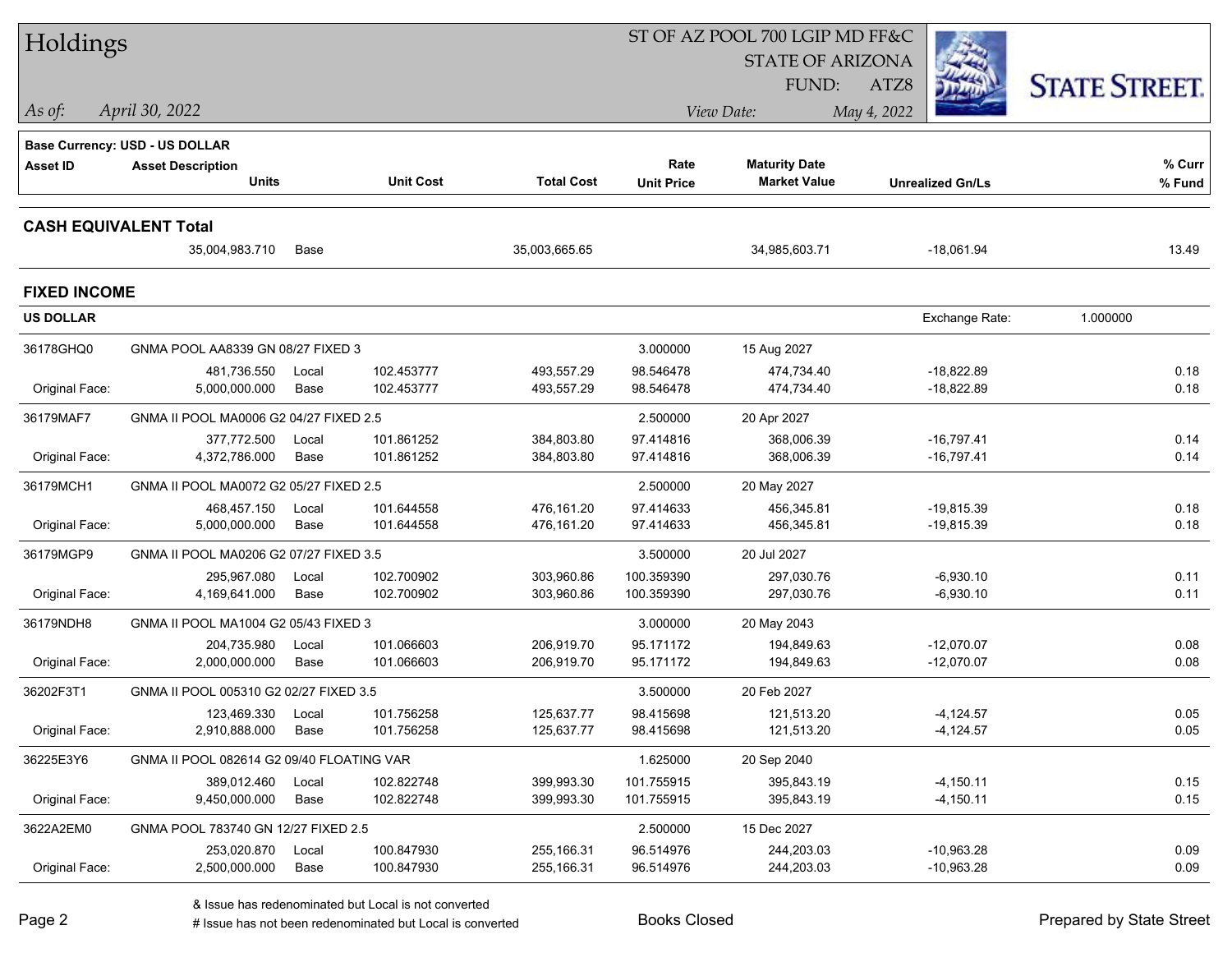| Holdings                     |                                           |               |                          |                          |                        | ST OF AZ POOL 700 LGIP MD FF&C |                              |                      |
|------------------------------|-------------------------------------------|---------------|--------------------------|--------------------------|------------------------|--------------------------------|------------------------------|----------------------|
|                              |                                           |               |                          |                          |                        | <b>STATE OF ARIZONA</b>        |                              |                      |
|                              |                                           |               |                          |                          |                        | <b>FUND:</b>                   | ATZ8                         | <b>STATE STREET.</b> |
| As of:                       | April 30, 2022                            |               |                          |                          |                        | View Date:                     | May 4, 2022                  |                      |
|                              | Base Currency: USD - US DOLLAR            |               |                          |                          |                        |                                |                              |                      |
| Asset ID                     | <b>Asset Description</b>                  |               |                          |                          | Rate                   | <b>Maturity Date</b>           |                              | % Curr               |
|                              | <b>Units</b>                              |               | <b>Unit Cost</b>         | <b>Total Cost</b>        | <b>Unit Price</b>      | <b>Market Value</b>            | <b>Unrealized Gn/Ls</b>      | % Fund               |
| <b>CASH EQUIVALENT Total</b> |                                           |               |                          |                          |                        |                                |                              |                      |
|                              | 35,004,983.710                            | Base          |                          | 35,003,665.65            |                        | 34,985,603.71                  | $-18,061.94$                 | 13.49                |
| <b>FIXED INCOME</b>          |                                           |               |                          |                          |                        |                                |                              |                      |
| <b>US DOLLAR</b>             |                                           |               |                          |                          |                        |                                | Exchange Rate:               | 1.000000             |
| 36178GHQ0                    | GNMA POOL AA8339 GN 08/27 FIXED 3         |               |                          |                          | 3.000000               | 15 Aug 2027                    |                              |                      |
|                              | 481,736.550                               | Local         | 102.453777               | 493,557.29               | 98.546478              | 474,734.40                     | $-18,822.89$                 | 0.18                 |
| Original Face:               | 5,000,000.000                             | Base          | 102.453777               | 493,557.29               | 98.546478              | 474,734.40                     | $-18,822.89$                 | 0.18                 |
| 36179MAF7                    | GNMA II POOL MA0006 G2 04/27 FIXED 2.5    |               |                          |                          | 2.500000               | 20 Apr 2027                    |                              |                      |
| Original Face:               | 377,772.500<br>4.372.786.000              | Local<br>Base | 101.861252<br>101.861252 | 384,803.80<br>384,803.80 | 97.414816<br>97.414816 | 368,006.39<br>368,006.39       | $-16,797.41$<br>$-16,797.41$ | 0.14<br>0.14         |
|                              |                                           |               |                          |                          |                        |                                |                              |                      |
| 36179MCH1                    | GNMA II POOL MA0072 G2 05/27 FIXED 2.5    |               |                          |                          | 2.500000               | 20 May 2027                    |                              |                      |
| Original Face:               | 468,457.150<br>5,000,000.000              | Local<br>Base | 101.644558<br>101.644558 | 476,161.20<br>476,161.20 | 97.414633<br>97.414633 | 456,345.81<br>456,345.81       | $-19,815.39$<br>$-19,815.39$ | 0.18<br>0.18         |
|                              |                                           |               |                          |                          |                        |                                |                              |                      |
| 36179MGP9                    | GNMA II POOL MA0206 G2 07/27 FIXED 3.5    |               |                          |                          | 3.500000               | 20 Jul 2027                    |                              |                      |
|                              | 295,967.080<br>4,169,641.000              | Local<br>Base | 102.700902<br>102.700902 | 303,960.86               | 100.359390             | 297,030.76<br>297,030.76       | $-6,930.10$                  | 0.11<br>0.11         |
| Original Face:               |                                           |               |                          | 303,960.86               | 100.359390             |                                | $-6,930.10$                  |                      |
| 36179NDH8                    | GNMA II POOL MA1004 G2 05/43 FIXED 3      |               |                          |                          | 3.000000               | 20 May 2043                    |                              |                      |
|                              | 204,735.980                               | Local         | 101.066603               | 206,919.70               | 95.171172              | 194,849.63                     | $-12,070.07$                 | 0.08                 |
| Original Face:               | 2,000,000.000                             | Base          | 101.066603               | 206,919.70               | 95.171172              | 194,849.63                     | $-12,070.07$                 | 0.08                 |
| 36202F3T1                    | GNMA II POOL 005310 G2 02/27 FIXED 3.5    |               |                          |                          | 3.500000               | 20 Feb 2027                    |                              |                      |
|                              | 123,469.330                               | Local         | 101.756258               | 125.637.77               | 98.415698              | 121,513.20                     | $-4,124.57$                  | 0.05                 |
| Original Face:               | 2,910,888.000                             | Base          | 101.756258               | 125,637.77               | 98.415698              | 121,513.20                     | $-4,124.57$                  | 0.05                 |
| 36225E3Y6                    | GNMA II POOL 082614 G2 09/40 FLOATING VAR |               |                          |                          | 1.625000               | 20 Sep 2040                    |                              |                      |
|                              | 389,012.460                               | Local         | 102.822748               | 399,993.30               | 101.755915             | 395,843.19                     | $-4,150.11$                  | 0.15                 |
| Original Face:               | 9,450,000.000                             | Base          | 102.822748               | 399,993.30               | 101.755915             | 395,843.19                     | $-4,150.11$                  | 0.15                 |
| 3622A2EM0                    | GNMA POOL 783740 GN 12/27 FIXED 2.5       |               |                          |                          | 2.500000               | 15 Dec 2027                    |                              |                      |
|                              | 253,020.870                               | Local         | 100.847930               | 255,166.31               | 96.514976              | 244,203.03                     | $-10,963.28$                 | 0.09                 |
| Original Face:               | 2,500,000.000                             | Base          | 100.847930               | 255,166.31               | 96.514976              | 244,203.03                     | $-10,963.28$                 | 0.09                 |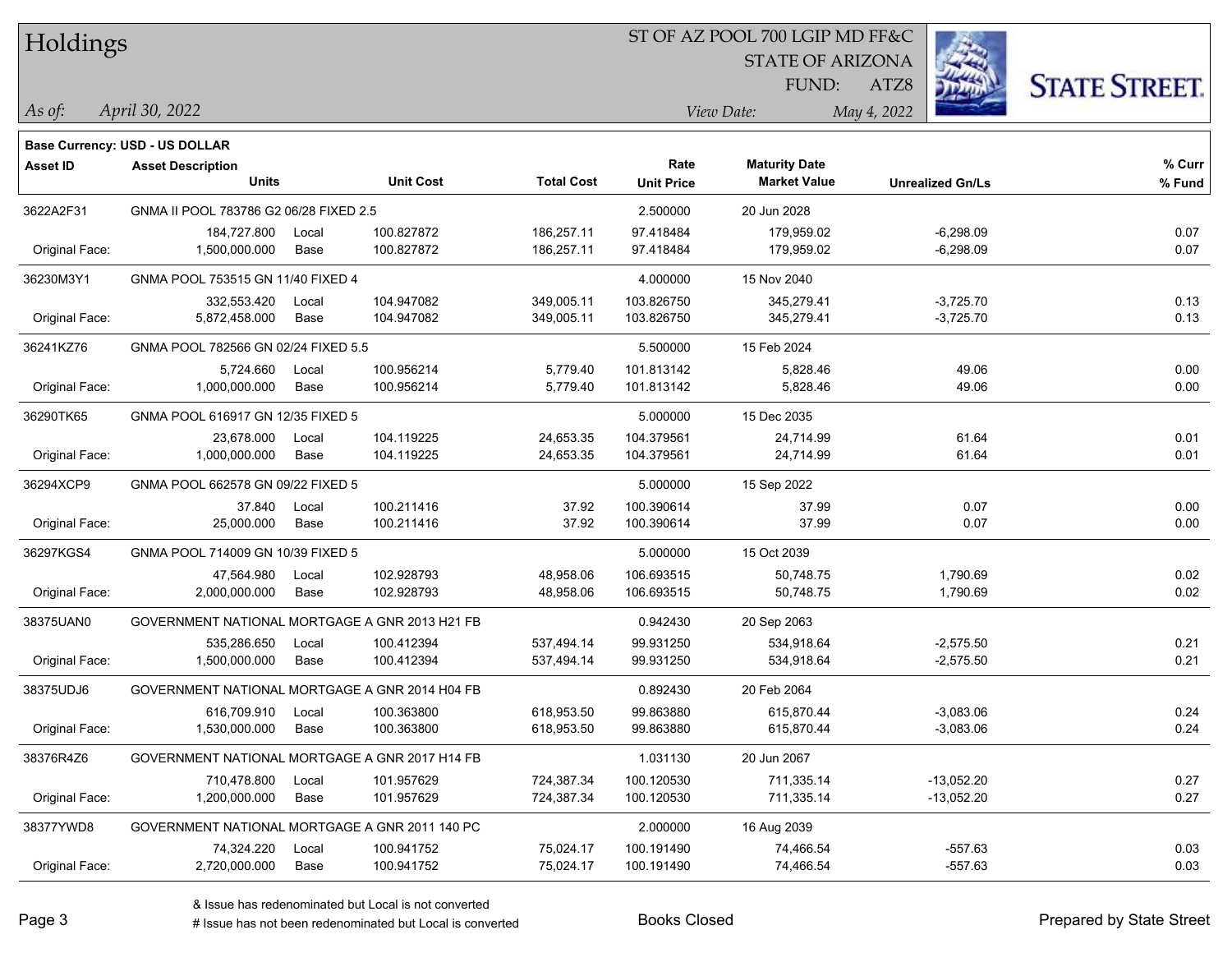| Holdings |
|----------|
|          |

### ST OF AZ POOL 700 LGIP MD FF&C

STATE OF ARIZONA

FUND:

**Maturity Date**



**% Fund**

**% Curr**

*April 30, 2022 As of: View Date: May 4, 2022*

**Base Currency: USD - US DOLLAR**

ATZ8

| 3622A2F31      | GNMA II POOL 783786 G2 06/28 FIXED 2.5 |                                                |            | 2.500000   | 20 Jun 2028 |             |      |
|----------------|----------------------------------------|------------------------------------------------|------------|------------|-------------|-------------|------|
|                | 184,727.800                            | 100.827872<br>Local                            | 186,257.11 | 97.418484  | 179,959.02  | $-6,298.09$ | 0.07 |
| Original Face: | 1,500,000.000                          | 100.827872<br>Base                             | 186,257.11 | 97.418484  | 179,959.02  | $-6,298.09$ | 0.07 |
| 36230M3Y1      | GNMA POOL 753515 GN 11/40 FIXED 4      |                                                |            | 4.000000   | 15 Nov 2040 |             |      |
|                | 332.553.420                            | 104.947082<br>Local                            | 349,005.11 | 103.826750 | 345,279.41  | $-3,725.70$ | 0.13 |
| Original Face: | 5,872,458.000                          | Base<br>104.947082                             | 349,005.11 | 103.826750 | 345,279.41  | $-3,725.70$ | 0.13 |
| 36241KZ76      | GNMA POOL 782566 GN 02/24 FIXED 5.5    |                                                |            | 5.500000   | 15 Feb 2024 |             |      |
|                | 5,724.660                              | 100.956214<br>Local                            | 5,779.40   | 101.813142 | 5,828.46    | 49.06       | 0.00 |
| Original Face: | 1,000,000.000                          | Base<br>100.956214                             | 5,779.40   | 101.813142 | 5,828.46    | 49.06       | 0.00 |
| 36290TK65      | GNMA POOL 616917 GN 12/35 FIXED 5      |                                                |            | 5.000000   | 15 Dec 2035 |             |      |
|                | 23,678.000                             | 104.119225<br>Local                            | 24,653.35  | 104.379561 | 24,714.99   | 61.64       | 0.01 |
| Original Face: | 1,000,000.000                          | Base<br>104.119225                             | 24,653.35  | 104.379561 | 24,714.99   | 61.64       | 0.01 |
| 36294XCP9      | GNMA POOL 662578 GN 09/22 FIXED 5      |                                                |            | 5.000000   | 15 Sep 2022 |             |      |
|                | 37.840                                 | 100.211416<br>Local                            | 37.92      | 100.390614 | 37.99       | 0.07        | 0.00 |
| Original Face: | 25,000.000                             | Base<br>100.211416                             | 37.92      | 100.390614 | 37.99       | 0.07        | 0.00 |
| 36297KGS4      | GNMA POOL 714009 GN 10/39 FIXED 5      |                                                |            | 5.000000   | 15 Oct 2039 |             |      |
|                | 47,564.980                             | 102.928793<br>Local                            | 48,958.06  | 106.693515 | 50,748.75   | 1,790.69    | 0.02 |
| Original Face: | 2,000,000.000                          | 102.928793<br>Base                             | 48,958.06  | 106.693515 | 50,748.75   | 1,790.69    | 0.02 |
| 38375UAN0      |                                        | GOVERNMENT NATIONAL MORTGAGE A GNR 2013 H21 FB |            | 0.942430   | 20 Sep 2063 |             |      |
|                | 535,286.650                            | 100.412394<br>Local                            | 537,494.14 | 99.931250  | 534,918.64  | $-2,575.50$ | 0.21 |
| Original Face: | 1,500,000.000                          | Base<br>100.412394                             | 537,494.14 | 99.931250  | 534,918.64  | $-2,575.50$ | 0.21 |
| 38375UDJ6      |                                        | GOVERNMENT NATIONAL MORTGAGE A GNR 2014 H04 FB |            | 0.892430   | 20 Feb 2064 |             |      |
|                | 616,709.910                            | 100.363800<br>Local                            | 618,953.50 | 99.863880  | 615,870.44  | $-3,083.06$ | 0.24 |
| Original Face: | 1,530,000.000                          | Base<br>100.363800                             | 618,953.50 | 99.863880  | 615,870.44  | $-3,083.06$ | 0.24 |
| 38376R4Z6      |                                        | GOVERNMENT NATIONAL MORTGAGE A GNR 2017 H14 FB |            | 1.031130   | 20 Jun 2067 |             |      |

**Units Unit Cost Total Cost Unit Price Market Value Unrealized Gn/Ls**

& Issue has redenominated but Local is not converted

**Asset ID Asset Description Rate**

# Issue has not been redenominated but Local is converted Books Closed Prepared by State Street

38377YWD8 GOVERNMENT NATIONAL MORTGAGE A GNR 2011 140 PC 2.000000 16 Aug 2039

710,478.800 Local 101.957629 724,387.34 100.120530 711,335.14 13,052.20 0.27

74,324.220 Local 100.941752 75,024.17 100.191490 74,466.54 557.63 0.03

Original Face: 1,200,000.000 Base 101.957629 724,387.34 100.120530 711,335.14 -13,052.20 0.27

Original Face: 2,720,000.000 Base 100.941752 75,024.17 100.191490 74,466.54 -557.63 0.03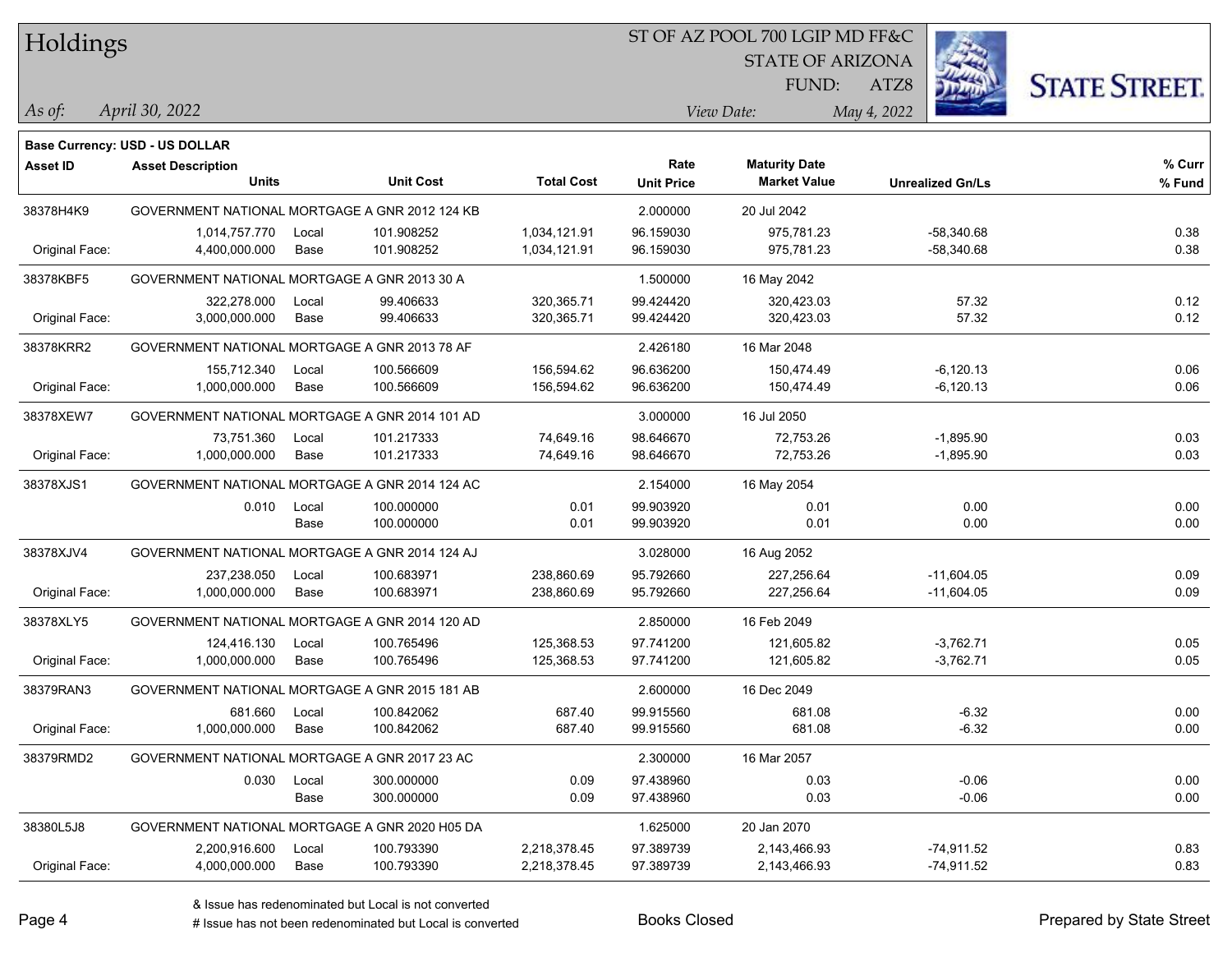Holdings

### ST OF AZ POOL 700 LGIP MD FF&C

STATE OF ARIZONA

FUND:

**Maturity Date**



**% Curr**

*April 30, 2022 As of: View Date: May 4, 2022*

**Base Currency: USD - US DOLLAR**

ATZ8

|                | <b>Units</b>                                   |       | <b>Unit Cost</b> | <b>Total Cost</b> | <b>Unit Price</b> | <b>Market Value</b> | <b>Unrealized Gn/Ls</b> | % Fund |
|----------------|------------------------------------------------|-------|------------------|-------------------|-------------------|---------------------|-------------------------|--------|
| 38378H4K9      | GOVERNMENT NATIONAL MORTGAGE A GNR 2012 124 KB |       |                  |                   | 2.000000          | 20 Jul 2042         |                         |        |
|                | 1,014,757.770                                  | Local | 101.908252       | 1,034,121.91      | 96.159030         | 975,781.23          | $-58,340.68$            | 0.38   |
| Original Face: | 4,400,000.000                                  | Base  | 101.908252       | 1,034,121.91      | 96.159030         | 975,781.23          | $-58,340.68$            | 0.38   |
| 38378KBF5      | GOVERNMENT NATIONAL MORTGAGE A GNR 2013 30 A   |       |                  |                   | 1.500000          | 16 May 2042         |                         |        |
|                | 322.278.000                                    | Local | 99.406633        | 320,365.71        | 99.424420         | 320,423.03          | 57.32                   | 0.12   |
| Original Face: | 3,000,000.000                                  | Base  | 99.406633        | 320,365.71        | 99.424420         | 320,423.03          | 57.32                   | 0.12   |
| 38378KRR2      | GOVERNMENT NATIONAL MORTGAGE A GNR 2013 78 AF  |       |                  |                   | 2.426180          | 16 Mar 2048         |                         |        |
|                | 155,712.340                                    | Local | 100.566609       | 156,594.62        | 96.636200         | 150,474.49          | $-6,120.13$             | 0.06   |
| Original Face: | 1,000,000.000                                  | Base  | 100.566609       | 156,594.62        | 96.636200         | 150,474.49          | $-6,120.13$             | 0.06   |
| 38378XEW7      | GOVERNMENT NATIONAL MORTGAGE A GNR 2014 101 AD |       |                  |                   | 3.000000          | 16 Jul 2050         |                         |        |
|                | 73,751.360                                     | Local | 101.217333       | 74,649.16         | 98.646670         | 72,753.26           | $-1,895.90$             | 0.03   |
| Original Face: | 1,000,000.000                                  | Base  | 101.217333       | 74,649.16         | 98.646670         | 72,753.26           | $-1,895.90$             | 0.03   |
| 38378XJS1      | GOVERNMENT NATIONAL MORTGAGE A GNR 2014 124 AC |       |                  |                   | 2.154000          | 16 May 2054         |                         |        |
|                | 0.010                                          | Local | 100.000000       | 0.01              | 99.903920         | 0.01                | 0.00                    | 0.00   |
|                |                                                | Base  | 100.000000       | 0.01              | 99.903920         | 0.01                | 0.00                    | 0.00   |
| 38378XJV4      | GOVERNMENT NATIONAL MORTGAGE A GNR 2014 124 AJ |       |                  |                   | 3.028000          | 16 Aug 2052         |                         |        |
|                | 237,238.050                                    | Local | 100.683971       | 238,860.69        | 95.792660         | 227,256.64          | $-11,604.05$            | 0.09   |
| Original Face: | 1,000,000.000                                  | Base  | 100.683971       | 238,860.69        | 95.792660         | 227,256.64          | $-11,604.05$            | 0.09   |
| 38378XLY5      | GOVERNMENT NATIONAL MORTGAGE A GNR 2014 120 AD |       |                  |                   | 2.850000          | 16 Feb 2049         |                         |        |
|                | 124,416.130                                    | Local | 100.765496       | 125,368.53        | 97.741200         | 121,605.82          | $-3,762.71$             | 0.05   |
| Original Face: | 1,000,000.000                                  | Base  | 100.765496       | 125,368.53        | 97.741200         | 121,605.82          | $-3,762.71$             | 0.05   |
| 38379RAN3      | GOVERNMENT NATIONAL MORTGAGE A GNR 2015 181 AB |       |                  |                   | 2.600000          | 16 Dec 2049         |                         |        |
|                | 681.660                                        | Local | 100.842062       | 687.40            | 99.915560         | 681.08              | $-6.32$                 | 0.00   |
| Original Face: | 1,000,000.000                                  | Base  | 100.842062       | 687.40            | 99.915560         | 681.08              | $-6.32$                 | 0.00   |
| 38379RMD2      | GOVERNMENT NATIONAL MORTGAGE A GNR 2017 23 AC  |       |                  |                   | 2.300000          | 16 Mar 2057         |                         |        |
|                | 0.030                                          | Local | 300.000000       | 0.09              | 97.438960         | 0.03                | $-0.06$                 | 0.00   |
|                |                                                | Base  | 300.000000       | 0.09              | 97.438960         | 0.03                | $-0.06$                 | 0.00   |
| 38380L5J8      | GOVERNMENT NATIONAL MORTGAGE A GNR 2020 H05 DA |       |                  |                   | 1.625000          | 20 Jan 2070         |                         |        |
|                | 2,200,916.600                                  | Local | 100.793390       | 2,218,378.45      | 97.389739         | 2,143,466.93        | $-74,911.52$            | 0.83   |
| Original Face: | 4,000,000.000                                  | Base  | 100.793390       | 2,218,378.45      | 97.389739         | 2,143,466.93        | $-74,911.52$            | 0.83   |

**Asset ID Asset Description Rate**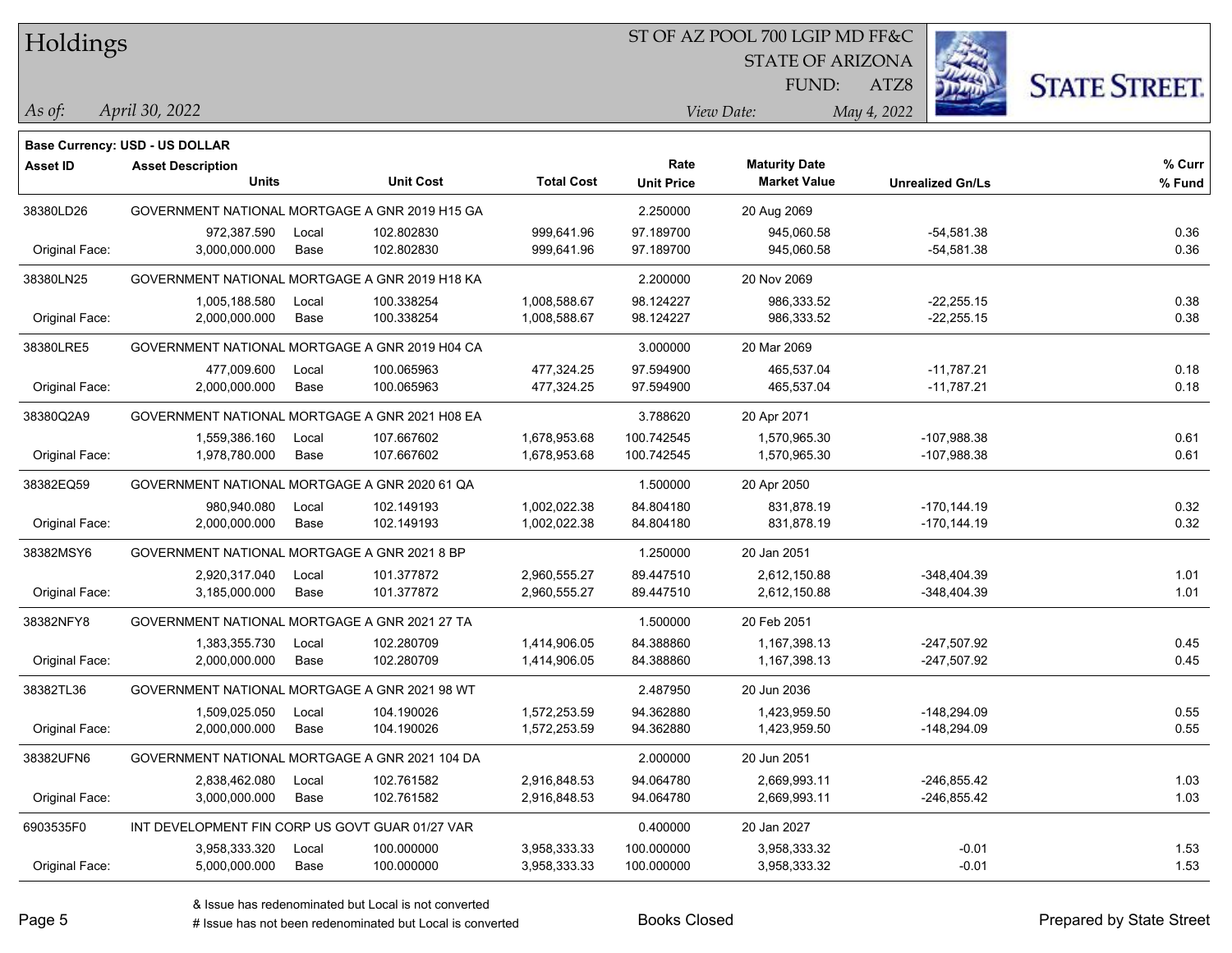Holdings

### ST OF AZ POOL 700 LGIP MD FF&C

STATE OF ARIZONA

FUND:



*April 30, 2022 As of: View Date: May 4, 2022*

**Base Currency: USD - US DOLLAR**

ATZ8

| Asset ID       | <b>Asset Description</b>                        |                  |                   | Rate              | <b>Maturity Date</b> |                         | % Curr |
|----------------|-------------------------------------------------|------------------|-------------------|-------------------|----------------------|-------------------------|--------|
|                | <b>Units</b>                                    | <b>Unit Cost</b> | <b>Total Cost</b> | <b>Unit Price</b> | <b>Market Value</b>  | <b>Unrealized Gn/Ls</b> | % Fund |
| 38380LD26      | GOVERNMENT NATIONAL MORTGAGE A GNR 2019 H15 GA  |                  |                   | 2.250000          | 20 Aug 2069          |                         |        |
|                | 972,387.590<br>Local                            | 102.802830       | 999,641.96        | 97.189700         | 945,060.58           | $-54,581.38$            | 0.36   |
| Original Face: | 3,000,000.000<br>Base                           | 102.802830       | 999,641.96        | 97.189700         | 945,060.58           | $-54,581.38$            | 0.36   |
| 38380LN25      | GOVERNMENT NATIONAL MORTGAGE A GNR 2019 H18 KA  |                  |                   | 2.200000          | 20 Nov 2069          |                         |        |
|                | 1,005,188.580<br>Local                          | 100.338254       | 1,008,588.67      | 98.124227         | 986,333.52           | $-22,255.15$            | 0.38   |
| Original Face: | Base<br>2,000,000.000                           | 100.338254       | 1,008,588.67      | 98.124227         | 986,333.52           | $-22,255.15$            | 0.38   |
| 38380LRE5      | GOVERNMENT NATIONAL MORTGAGE A GNR 2019 H04 CA  |                  |                   | 3.000000          | 20 Mar 2069          |                         |        |
|                | 477,009.600<br>Local                            | 100.065963       | 477,324.25        | 97.594900         | 465,537.04           | $-11,787.21$            | 0.18   |
| Original Face: | 2,000,000.000<br>Base                           | 100.065963       | 477,324.25        | 97.594900         | 465,537.04           | $-11,787.21$            | 0.18   |
| 38380Q2A9      | GOVERNMENT NATIONAL MORTGAGE A GNR 2021 H08 EA  |                  |                   | 3.788620          | 20 Apr 2071          |                         |        |
|                | 1,559,386.160<br>Local                          | 107.667602       | 1,678,953.68      | 100.742545        | 1,570,965.30         | -107,988.38             | 0.61   |
| Original Face: | 1,978,780.000<br>Base                           | 107.667602       | 1,678,953.68      | 100.742545        | 1,570,965.30         | $-107,988.38$           | 0.61   |
| 38382EQ59      | GOVERNMENT NATIONAL MORTGAGE A GNR 2020 61 QA   |                  |                   | 1.500000          | 20 Apr 2050          |                         |        |
|                | 980,940.080<br>Local                            | 102.149193       | 1,002,022.38      | 84.804180         | 831,878.19           | $-170, 144.19$          | 0.32   |
| Original Face: | 2.000.000.000<br>Base                           | 102.149193       | 1,002,022.38      | 84.804180         | 831,878.19           | $-170, 144.19$          | 0.32   |
| 38382MSY6      | GOVERNMENT NATIONAL MORTGAGE A GNR 2021 8 BP    |                  |                   | 1.250000          | 20 Jan 2051          |                         |        |
|                | 2,920,317.040<br>Local                          | 101.377872       | 2,960,555.27      | 89.447510         | 2,612,150.88         | $-348,404.39$           | 1.01   |
| Original Face: | 3,185,000.000<br>Base                           | 101.377872       | 2,960,555.27      | 89.447510         | 2,612,150.88         | -348,404.39             | 1.01   |
| 38382NFY8      | GOVERNMENT NATIONAL MORTGAGE A GNR 2021 27 TA   |                  |                   | 1.500000          | 20 Feb 2051          |                         |        |
|                | 1,383,355.730<br>Local                          | 102.280709       | 1,414,906.05      | 84.388860         | 1,167,398.13         | $-247,507.92$           | 0.45   |
| Original Face: | 2,000,000.000<br>Base                           | 102.280709       | 1,414,906.05      | 84.388860         | 1,167,398.13         | $-247,507.92$           | 0.45   |
| 38382TL36      | GOVERNMENT NATIONAL MORTGAGE A GNR 2021 98 WT   |                  |                   | 2.487950          | 20 Jun 2036          |                         |        |
|                | 1,509,025.050<br>Local                          | 104.190026       | 1,572,253.59      | 94.362880         | 1,423,959.50         | $-148,294.09$           | 0.55   |
| Original Face: | 2,000,000.000<br>Base                           | 104.190026       | 1,572,253.59      | 94.362880         | 1,423,959.50         | -148,294.09             | 0.55   |
| 38382UFN6      | GOVERNMENT NATIONAL MORTGAGE A GNR 2021 104 DA  |                  |                   | 2.000000          | 20 Jun 2051          |                         |        |
|                | 2,838,462.080<br>Local                          | 102.761582       | 2,916,848.53      | 94.064780         | 2,669,993.11         | -246,855.42             | 1.03   |
| Original Face: | 3,000,000.000<br>Base                           | 102.761582       | 2,916,848.53      | 94.064780         | 2,669,993.11         | $-246,855.42$           | 1.03   |
| 6903535F0      | INT DEVELOPMENT FIN CORP US GOVT GUAR 01/27 VAR |                  |                   | 0.400000          | 20 Jan 2027          |                         |        |
|                | 3,958,333.320<br>Local                          | 100.000000       | 3,958,333.33      | 100.000000        | 3,958,333.32         | $-0.01$                 | 1.53   |
| Original Face: | 5,000,000.000<br>Base                           | 100.000000       | 3,958,333.33      | 100.000000        | 3,958,333.32         | $-0.01$                 | 1.53   |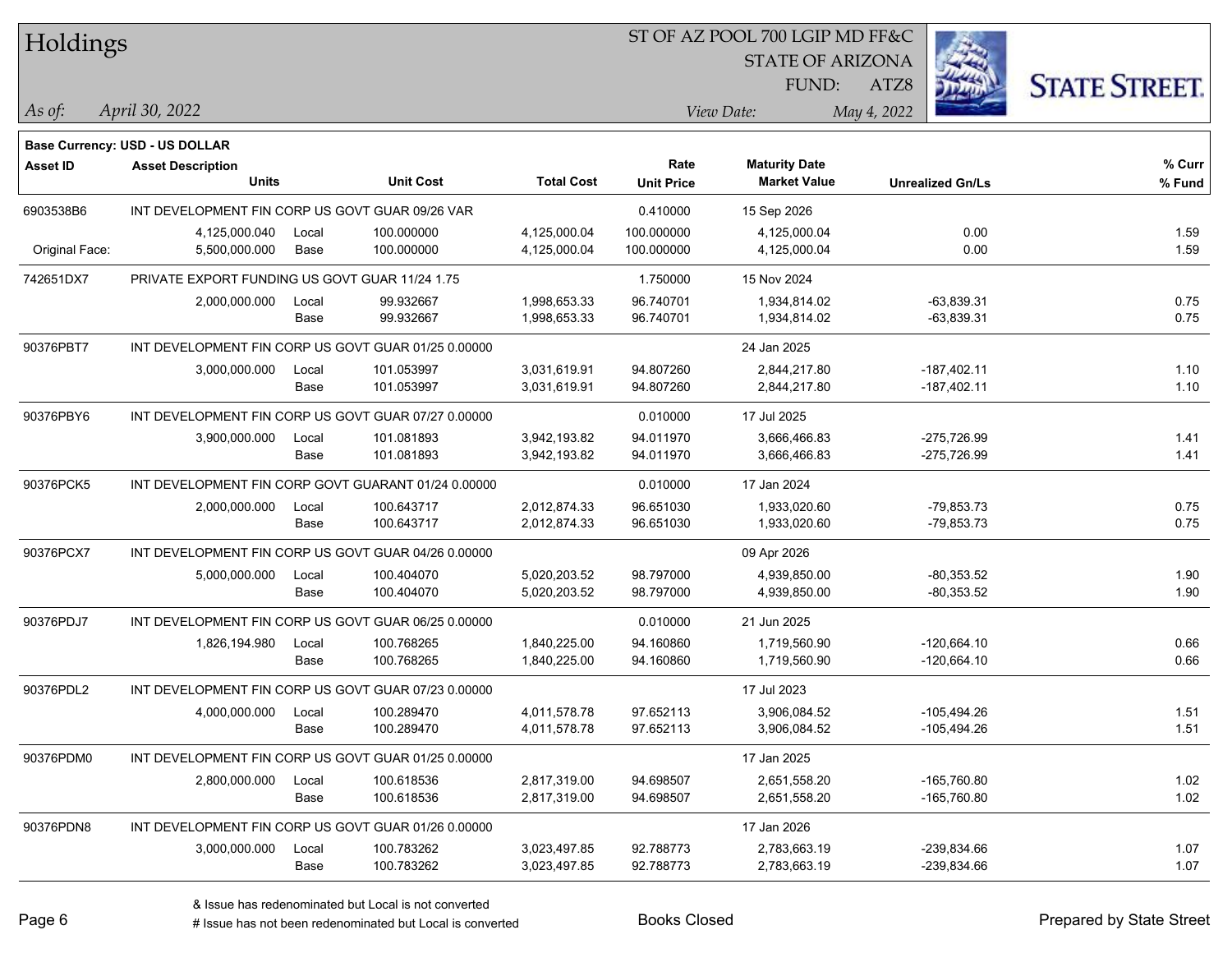| Holdings        |                                                     |       |                  |                   | ST OF AZ POOL 700 LGIP MD FF&C |                         |                         |                      |  |  |
|-----------------|-----------------------------------------------------|-------|------------------|-------------------|--------------------------------|-------------------------|-------------------------|----------------------|--|--|
|                 |                                                     |       |                  |                   |                                | <b>STATE OF ARIZONA</b> |                         |                      |  |  |
|                 |                                                     |       |                  |                   |                                | FUND:                   | ATZ8                    | <b>STATE STREET.</b> |  |  |
| As of:          | April 30, 2022                                      |       |                  |                   |                                | View Date:              | May 4, 2022             |                      |  |  |
|                 |                                                     |       |                  |                   |                                |                         |                         |                      |  |  |
|                 | Base Currency: USD - US DOLLAR                      |       |                  |                   | Rate                           | <b>Maturity Date</b>    |                         | % Curr               |  |  |
| <b>Asset ID</b> | <b>Asset Description</b><br><b>Units</b>            |       | <b>Unit Cost</b> | <b>Total Cost</b> | <b>Unit Price</b>              | <b>Market Value</b>     | <b>Unrealized Gn/Ls</b> | % Fund               |  |  |
| 6903538B6       | INT DEVELOPMENT FIN CORP US GOVT GUAR 09/26 VAR     |       |                  |                   | 0.410000                       | 15 Sep 2026             |                         |                      |  |  |
|                 | 4,125,000.040                                       | Local | 100.000000       | 4,125,000.04      | 100.000000                     | 4,125,000.04            | 0.00                    | 1.59                 |  |  |
| Original Face:  | 5,500,000.000                                       | Base  | 100.000000       | 4,125,000.04      | 100.000000                     | 4,125,000.04            | 0.00                    | 1.59                 |  |  |
| 742651DX7       | PRIVATE EXPORT FUNDING US GOVT GUAR 11/24 1.75      |       |                  |                   | 1.750000                       | 15 Nov 2024             |                         |                      |  |  |
|                 | 2,000,000.000                                       | Local | 99.932667        | 1,998,653.33      | 96.740701                      | 1,934,814.02            | $-63,839.31$            | 0.75                 |  |  |
|                 |                                                     | Base  | 99.932667        | 1,998,653.33      | 96.740701                      | 1,934,814.02            | $-63,839.31$            | 0.75                 |  |  |
| 90376PBT7       | INT DEVELOPMENT FIN CORP US GOVT GUAR 01/25 0.00000 |       |                  |                   |                                | 24 Jan 2025             |                         |                      |  |  |
|                 | 3,000,000.000                                       | Local | 101.053997       | 3,031,619.91      | 94.807260                      | 2,844,217.80            | $-187,402.11$           | 1.10                 |  |  |
|                 |                                                     | Base  | 101.053997       | 3,031,619.91      | 94.807260                      | 2,844,217.80            | $-187,402.11$           | 1.10                 |  |  |
| 90376PBY6       | INT DEVELOPMENT FIN CORP US GOVT GUAR 07/27 0.00000 |       |                  |                   | 0.010000                       | 17 Jul 2025             |                         |                      |  |  |
|                 | 3,900,000.000                                       | Local | 101.081893       | 3,942,193.82      | 94.011970                      | 3,666,466.83            | -275,726.99             | 1.41                 |  |  |
|                 |                                                     | Base  | 101.081893       | 3,942,193.82      | 94.011970                      | 3,666,466.83            | $-275,726.99$           | 1.41                 |  |  |
| 90376PCK5       | INT DEVELOPMENT FIN CORP GOVT GUARANT 01/24 0.00000 |       |                  |                   | 0.010000                       | 17 Jan 2024             |                         |                      |  |  |
|                 | 2,000,000.000                                       | Local | 100.643717       | 2,012,874.33      | 96.651030                      | 1,933,020.60            | $-79,853.73$            | 0.75                 |  |  |
|                 |                                                     | Base  | 100.643717       | 2,012,874.33      | 96.651030                      | 1,933,020.60            | $-79,853.73$            | 0.75                 |  |  |
| 90376PCX7       | INT DEVELOPMENT FIN CORP US GOVT GUAR 04/26 0.00000 |       |                  |                   |                                | 09 Apr 2026             |                         |                      |  |  |
|                 | 5,000,000.000                                       | Local | 100.404070       | 5,020,203.52      | 98.797000                      | 4,939,850.00            | $-80,353.52$            | 1.90                 |  |  |
|                 |                                                     | Base  | 100.404070       | 5,020,203.52      | 98.797000                      | 4,939,850.00            | $-80,353.52$            | 1.90                 |  |  |
| 90376PDJ7       | INT DEVELOPMENT FIN CORP US GOVT GUAR 06/25 0.00000 |       |                  |                   | 0.010000                       | 21 Jun 2025             |                         |                      |  |  |
|                 | 1,826,194.980                                       | Local | 100.768265       | 1,840,225.00      | 94.160860                      | 1,719,560.90            | $-120,664.10$           | 0.66                 |  |  |
|                 |                                                     | Base  | 100.768265       | 1,840,225.00      | 94.160860                      | 1,719,560.90            | $-120,664.10$           | 0.66                 |  |  |
| 90376PDL2       | INT DEVELOPMENT FIN CORP US GOVT GUAR 07/23 0.00000 |       |                  |                   |                                | 17 Jul 2023             |                         |                      |  |  |
|                 | 4,000,000.000                                       | Local | 100.289470       | 4,011,578.78      | 97.652113                      | 3,906,084.52            | -105.494.26             | 1.51                 |  |  |
|                 |                                                     | Base  | 100.289470       | 4,011,578.78      | 97.652113                      | 3,906,084.52            | $-105,494.26$           | 1.51                 |  |  |
| 90376PDM0       | INT DEVELOPMENT FIN CORP US GOVT GUAR 01/25 0.00000 |       |                  |                   |                                | 17 Jan 2025             |                         |                      |  |  |
|                 | 2,800,000.000                                       | Local | 100.618536       | 2,817,319.00      | 94.698507                      | 2,651,558.20            | $-165,760.80$           | 1.02                 |  |  |
|                 |                                                     | Base  | 100.618536       | 2,817,319.00      | 94.698507                      | 2,651,558.20            | $-165,760.80$           | 1.02                 |  |  |
| 90376PDN8       | INT DEVELOPMENT FIN CORP US GOVT GUAR 01/26 0.00000 |       |                  |                   |                                | 17 Jan 2026             |                         |                      |  |  |
|                 | 3,000,000.000                                       | Local | 100.783262       | 3,023,497.85      | 92.788773                      | 2,783,663.19            | -239,834.66             | 1.07                 |  |  |
|                 |                                                     | Base  | 100.783262       | 3,023,497.85      | 92.788773                      | 2,783,663.19            | -239,834.66             | 1.07                 |  |  |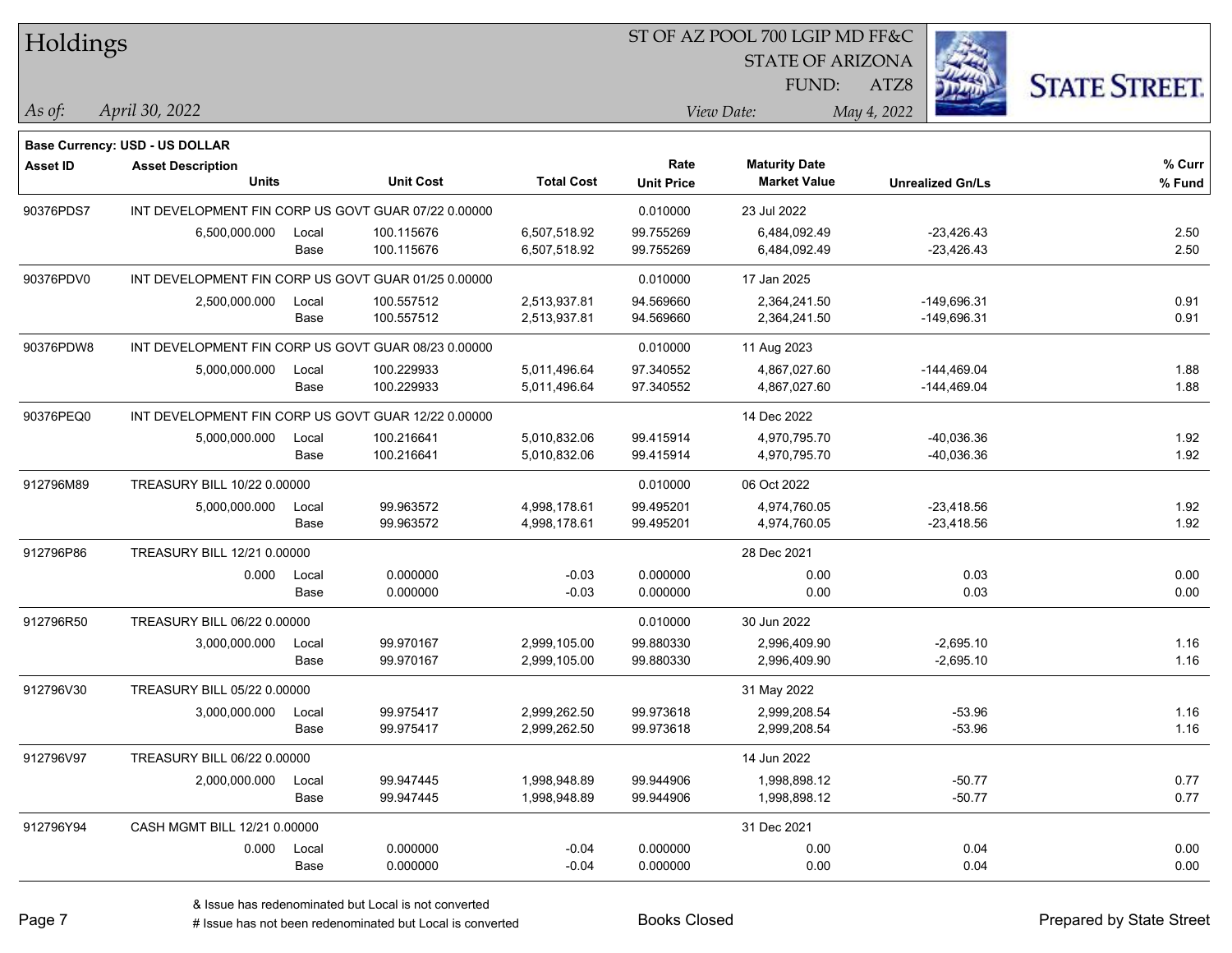| Holdings        |                                       |       |                                                     |                   | ST OF AZ POOL 700 LGIP MD FF&C |                         |                         |                      |  |  |
|-----------------|---------------------------------------|-------|-----------------------------------------------------|-------------------|--------------------------------|-------------------------|-------------------------|----------------------|--|--|
|                 |                                       |       |                                                     |                   |                                | <b>STATE OF ARIZONA</b> |                         |                      |  |  |
|                 |                                       |       |                                                     |                   |                                | FUND:                   | ATZ8                    | <b>STATE STREET.</b> |  |  |
| As of:          | April 30, 2022                        |       |                                                     |                   |                                | View Date:              | May 4, 2022             |                      |  |  |
|                 | <b>Base Currency: USD - US DOLLAR</b> |       |                                                     |                   |                                |                         |                         |                      |  |  |
| <b>Asset ID</b> | <b>Asset Description</b>              |       |                                                     |                   | Rate                           | <b>Maturity Date</b>    |                         | % Curr               |  |  |
|                 | <b>Units</b>                          |       | <b>Unit Cost</b>                                    | <b>Total Cost</b> | <b>Unit Price</b>              | <b>Market Value</b>     | <b>Unrealized Gn/Ls</b> | % Fund               |  |  |
| 90376PDS7       |                                       |       | INT DEVELOPMENT FIN CORP US GOVT GUAR 07/22 0.00000 |                   | 0.010000                       | 23 Jul 2022             |                         |                      |  |  |
|                 | 6,500,000.000                         | Local | 100.115676                                          | 6,507,518.92      | 99.755269                      | 6,484,092.49            | $-23,426.43$            | 2.50                 |  |  |
|                 |                                       | Base  | 100.115676                                          | 6,507,518.92      | 99.755269                      | 6,484,092.49            | $-23,426.43$            | 2.50                 |  |  |
| 90376PDV0       |                                       |       | INT DEVELOPMENT FIN CORP US GOVT GUAR 01/25 0.00000 |                   | 0.010000                       | 17 Jan 2025             |                         |                      |  |  |
|                 | 2,500,000.000                         | Local | 100.557512                                          | 2,513,937.81      | 94.569660                      | 2,364,241.50            | $-149,696.31$           | 0.91                 |  |  |
|                 |                                       | Base  | 100.557512                                          | 2,513,937.81      | 94.569660                      | 2,364,241.50            | $-149,696.31$           | 0.91                 |  |  |
| 90376PDW8       |                                       |       | INT DEVELOPMENT FIN CORP US GOVT GUAR 08/23 0.00000 |                   | 0.010000                       | 11 Aug 2023             |                         |                      |  |  |
|                 | 5,000,000.000                         | Local | 100.229933                                          | 5,011,496.64      | 97.340552                      | 4,867,027.60            | $-144,469.04$           | 1.88                 |  |  |
|                 |                                       | Base  | 100.229933                                          | 5,011,496.64      | 97.340552                      | 4,867,027.60            | $-144,469.04$           | 1.88                 |  |  |
| 90376PEQ0       |                                       |       | INT DEVELOPMENT FIN CORP US GOVT GUAR 12/22 0.00000 |                   |                                | 14 Dec 2022             |                         |                      |  |  |
|                 | 5,000,000.000                         | Local | 100.216641                                          | 5,010,832.06      | 99.415914                      | 4,970,795.70            | $-40,036.36$            | 1.92                 |  |  |
|                 |                                       | Base  | 100.216641                                          | 5,010,832.06      | 99.415914                      | 4,970,795.70            | $-40,036.36$            | 1.92                 |  |  |
| 912796M89       | TREASURY BILL 10/22 0.00000           |       |                                                     |                   | 0.010000                       | 06 Oct 2022             |                         |                      |  |  |
|                 | 5,000,000.000                         | Local | 99.963572                                           | 4,998,178.61      | 99.495201                      | 4,974,760.05            | $-23,418.56$            | 1.92                 |  |  |
|                 |                                       | Base  | 99.963572                                           | 4,998,178.61      | 99.495201                      | 4,974,760.05            | $-23,418.56$            | 1.92                 |  |  |
| 912796P86       | TREASURY BILL 12/21 0.00000           |       |                                                     |                   |                                | 28 Dec 2021             |                         |                      |  |  |
|                 | 0.000                                 | Local | 0.000000                                            | $-0.03$           | 0.000000                       | 0.00                    | 0.03                    | 0.00                 |  |  |
|                 |                                       | Base  | 0.000000                                            | $-0.03$           | 0.000000                       | 0.00                    | 0.03                    | 0.00                 |  |  |
| 912796R50       | TREASURY BILL 06/22 0.00000           |       |                                                     |                   | 0.010000                       | 30 Jun 2022             |                         |                      |  |  |
|                 | 3,000,000.000                         | Local | 99.970167                                           | 2,999,105.00      | 99.880330                      | 2,996,409.90            | $-2,695.10$             | 1.16                 |  |  |
|                 |                                       | Base  | 99.970167                                           | 2,999,105.00      | 99.880330                      | 2,996,409.90            | $-2,695.10$             | 1.16                 |  |  |
| 912796V30       | TREASURY BILL 05/22 0.00000           |       |                                                     |                   |                                | 31 May 2022             |                         |                      |  |  |
|                 | 3,000,000.000                         | Local | 99.975417                                           | 2,999,262.50      | 99.973618                      | 2,999,208.54            | -53.96                  | 1.16                 |  |  |
|                 |                                       | Base  | 99.975417                                           | 2,999,262.50      | 99.973618                      | 2,999,208.54            | $-53.96$                | 1.16                 |  |  |
| 912796V97       | TREASURY BILL 06/22 0.00000           |       |                                                     |                   |                                | 14 Jun 2022             |                         |                      |  |  |
|                 | 2,000,000.000                         | Local | 99.947445                                           | 1,998,948.89      | 99.944906                      | 1,998,898.12            | $-50.77$                | 0.77                 |  |  |
|                 |                                       | Base  | 99.947445                                           | 1,998,948.89      | 99.944906                      | 1,998,898.12            | $-50.77$                | 0.77                 |  |  |
| 912796Y94       | CASH MGMT BILL 12/21 0.00000          |       |                                                     |                   |                                | 31 Dec 2021             |                         |                      |  |  |
|                 | 0.000                                 | Local | 0.000000                                            | $-0.04$           | 0.000000                       | 0.00                    | 0.04                    | 0.00                 |  |  |
|                 |                                       | Base  | 0.000000                                            | $-0.04$           | 0.000000                       | 0.00                    | 0.04                    | 0.00                 |  |  |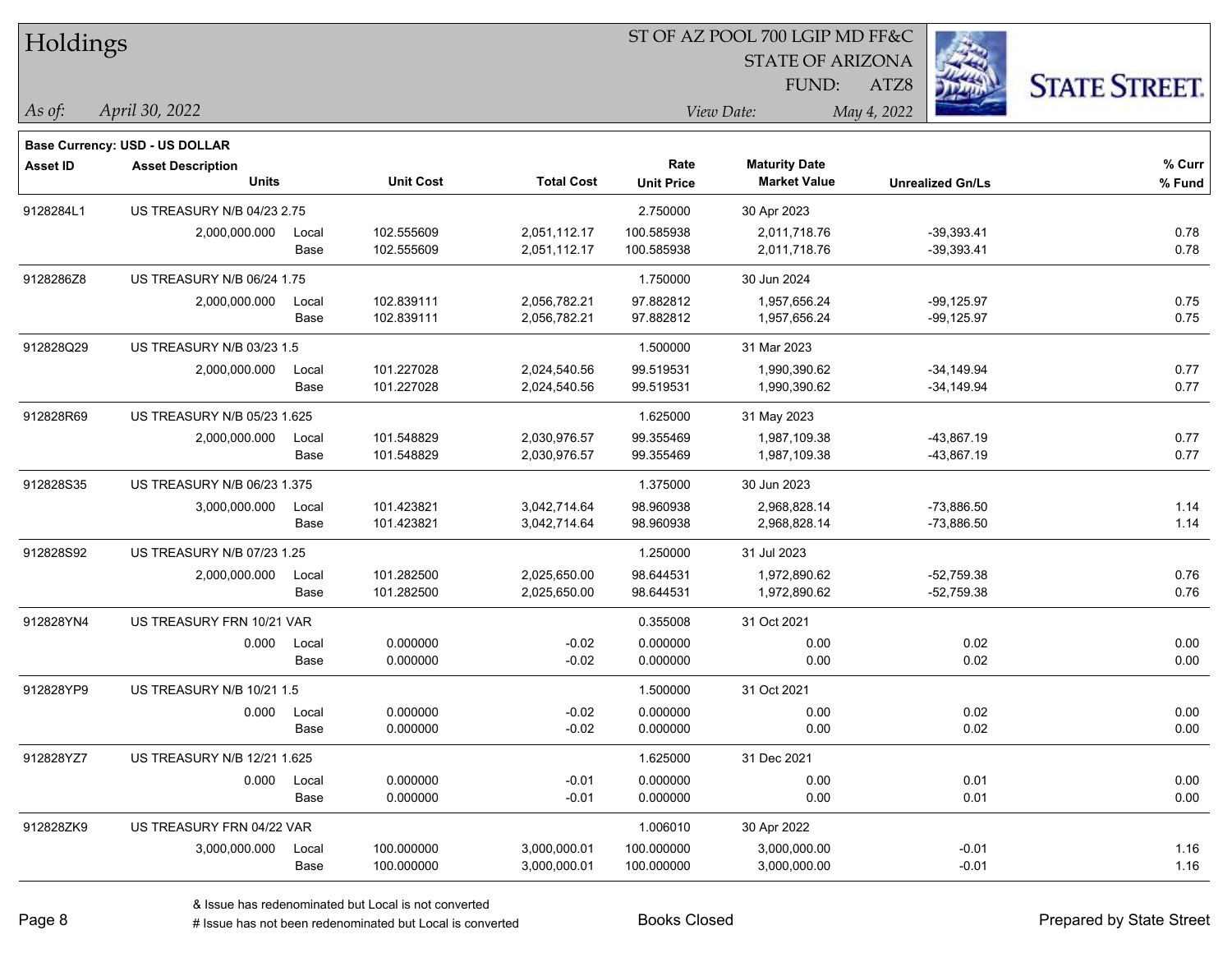| Holdings        |                                       |       |                  |                   | ST OF AZ POOL 700 LGIP MD FF&C |                         |                         |                      |  |  |
|-----------------|---------------------------------------|-------|------------------|-------------------|--------------------------------|-------------------------|-------------------------|----------------------|--|--|
|                 |                                       |       |                  |                   |                                | <b>STATE OF ARIZONA</b> | Ź.                      |                      |  |  |
|                 |                                       |       |                  |                   |                                | FUND:                   | ATZ8                    | <b>STATE STREET.</b> |  |  |
| As of:          | April 30, 2022                        |       |                  |                   |                                | View Date:              | May 4, 2022             |                      |  |  |
|                 |                                       |       |                  |                   |                                |                         |                         |                      |  |  |
|                 | <b>Base Currency: USD - US DOLLAR</b> |       |                  |                   |                                |                         |                         |                      |  |  |
| <b>Asset ID</b> | <b>Asset Description</b>              |       |                  |                   | Rate                           | <b>Maturity Date</b>    |                         | % Curr               |  |  |
|                 | <b>Units</b>                          |       | <b>Unit Cost</b> | <b>Total Cost</b> | <b>Unit Price</b>              | <b>Market Value</b>     | <b>Unrealized Gn/Ls</b> | % Fund               |  |  |
| 9128284L1       | <b>US TREASURY N/B 04/23 2.75</b>     |       |                  |                   | 2.750000                       | 30 Apr 2023             |                         |                      |  |  |
|                 | 2,000,000.000                         | Local | 102.555609       | 2,051,112.17      | 100.585938                     | 2,011,718.76            | $-39,393.41$            | 0.78                 |  |  |
|                 |                                       | Base  | 102.555609       | 2,051,112.17      | 100.585938                     | 2,011,718.76            | $-39,393.41$            | 0.78                 |  |  |
| 9128286Z8       | US TREASURY N/B 06/24 1.75            |       |                  |                   | 1.750000                       | 30 Jun 2024             |                         |                      |  |  |
|                 | 2,000,000.000                         | Local | 102.839111       | 2,056,782.21      | 97.882812                      | 1,957,656.24            | $-99,125.97$            | 0.75                 |  |  |
|                 |                                       | Base  | 102.839111       | 2,056,782.21      | 97.882812                      | 1,957,656.24            | $-99,125.97$            | 0.75                 |  |  |
| 912828Q29       | US TREASURY N/B 03/23 1.5             |       |                  |                   | 1.500000                       | 31 Mar 2023             |                         |                      |  |  |
|                 | 2,000,000.000                         | Local | 101.227028       | 2,024,540.56      | 99.519531                      | 1,990,390.62            | $-34,149.94$            | 0.77                 |  |  |
|                 |                                       | Base  | 101.227028       | 2,024,540.56      | 99.519531                      | 1,990,390.62            | $-34,149.94$            | 0.77                 |  |  |
| 912828R69       | US TREASURY N/B 05/23 1.625           |       |                  |                   | 1.625000                       | 31 May 2023             |                         |                      |  |  |
|                 | 2,000,000.000                         | Local | 101.548829       | 2,030,976.57      | 99.355469                      | 1,987,109.38            | -43,867.19              | 0.77                 |  |  |
|                 |                                       | Base  | 101.548829       | 2,030,976.57      | 99.355469                      | 1,987,109.38            | $-43,867.19$            | 0.77                 |  |  |
| 912828S35       | <b>US TREASURY N/B 06/23 1.375</b>    |       |                  |                   | 1.375000                       | 30 Jun 2023             |                         |                      |  |  |
|                 | 3,000,000.000                         | Local | 101.423821       | 3,042,714.64      | 98.960938                      | 2,968,828.14            | $-73,886.50$            | 1.14                 |  |  |
|                 |                                       | Base  | 101.423821       | 3,042,714.64      | 98.960938                      | 2,968,828.14            | $-73,886.50$            | 1.14                 |  |  |
| 912828S92       | US TREASURY N/B 07/23 1.25            |       |                  |                   | 1.250000                       | 31 Jul 2023             |                         |                      |  |  |
|                 | 2,000,000.000                         | Local | 101.282500       | 2,025,650.00      | 98.644531                      | 1,972,890.62            | $-52,759.38$            | 0.76                 |  |  |
|                 |                                       | Base  | 101.282500       | 2,025,650.00      | 98.644531                      | 1,972,890.62            | $-52,759.38$            | 0.76                 |  |  |
| 912828YN4       | US TREASURY FRN 10/21 VAR             |       |                  |                   | 0.355008                       | 31 Oct 2021             |                         |                      |  |  |
|                 | 0.000                                 | Local | 0.000000         | $-0.02$           | 0.000000                       | 0.00                    | 0.02                    | 0.00                 |  |  |
|                 |                                       | Base  | 0.000000         | $-0.02$           | 0.000000                       | 0.00                    | 0.02                    | 0.00                 |  |  |
| 912828YP9       | US TREASURY N/B 10/21 1.5             |       |                  |                   | 1.500000                       | 31 Oct 2021             |                         |                      |  |  |
|                 | 0.000                                 | Local | 0.000000         | $-0.02$           | 0.000000                       | 0.00                    | 0.02                    | 0.00                 |  |  |
|                 |                                       | Base  | 0.000000         | $-0.02$           | 0.000000                       | 0.00                    | 0.02                    | 0.00                 |  |  |
| 912828YZ7       | US TREASURY N/B 12/21 1.625           |       |                  |                   | 1.625000                       | 31 Dec 2021             |                         |                      |  |  |
|                 | 0.000 Local                           |       | 0.000000         | $-0.01$           | 0.000000                       | 0.00                    | 0.01                    | 0.00                 |  |  |
|                 |                                       | Base  | 0.000000         | $-0.01$           | 0.000000                       | 0.00                    | 0.01                    | 0.00                 |  |  |
| 912828ZK9       | US TREASURY FRN 04/22 VAR             |       |                  |                   | 1.006010                       | 30 Apr 2022             |                         |                      |  |  |
|                 | 3,000,000.000                         | Local | 100.000000       | 3,000,000.01      | 100.000000                     | 3,000,000.00            | $-0.01$                 | 1.16                 |  |  |
|                 |                                       | Base  | 100.000000       | 3,000,000.01      | 100.000000                     | 3,000,000.00            | $-0.01$                 | 1.16                 |  |  |
|                 |                                       |       |                  |                   |                                |                         |                         |                      |  |  |

 $\overline{S}$   $\overline{S}$   $\overline{S}$   $\overline{S}$   $\overline{S}$   $\overline{S}$   $\overline{S}$   $\overline{S}$   $\overline{S}$   $\overline{S}$   $\overline{S}$   $\overline{S}$   $\overline{S}$   $\overline{S}$   $\overline{S}$   $\overline{S}$   $\overline{S}$   $\overline{S}$   $\overline{S}$   $\overline{S}$   $\overline{S}$   $\overline{S}$   $\overline{S}$   $\overline{S}$   $\overline{$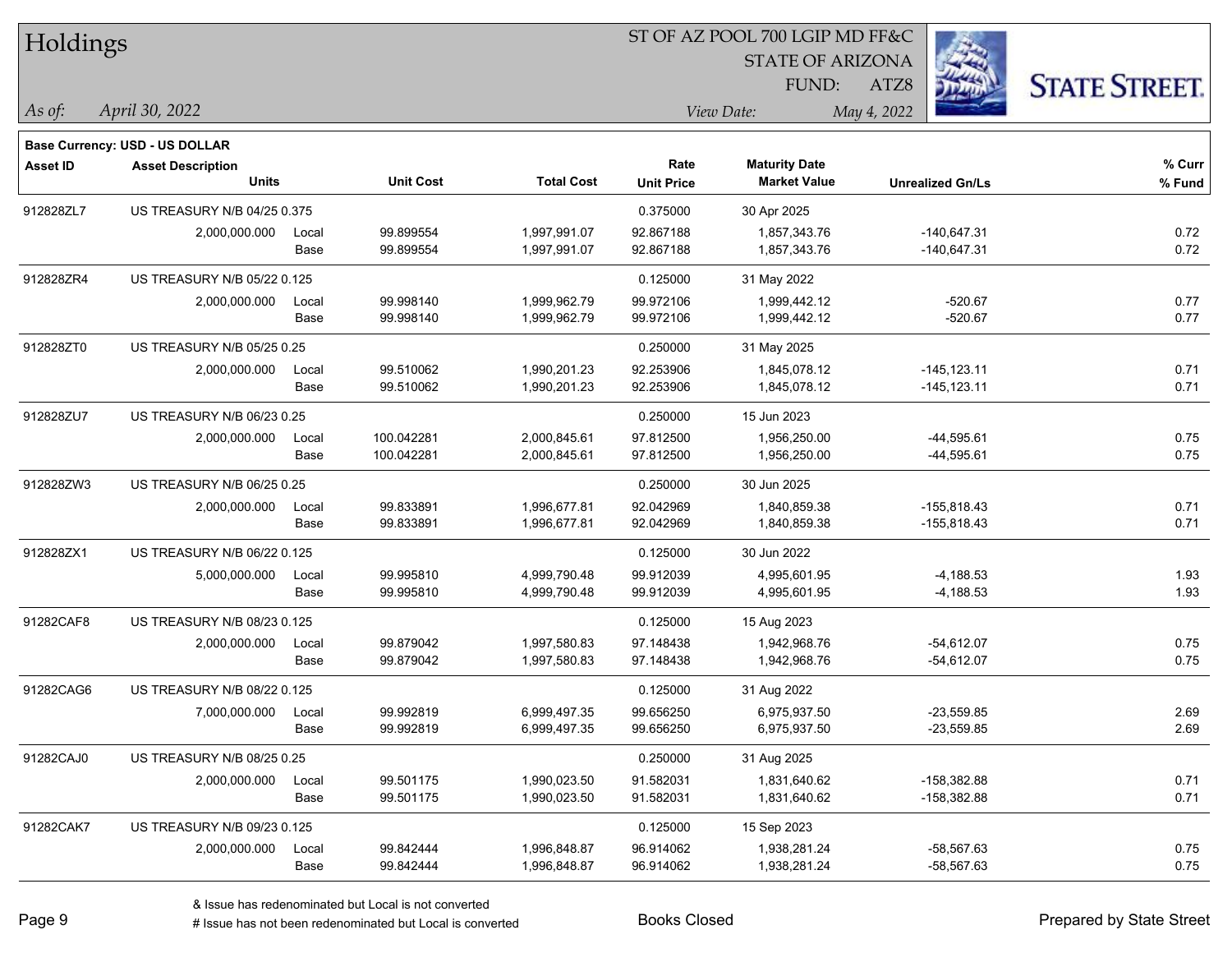| Holdings        |                                       |       |                  |                   | ST OF AZ POOL 700 LGIP MD FF&C |                         |                         |                      |  |
|-----------------|---------------------------------------|-------|------------------|-------------------|--------------------------------|-------------------------|-------------------------|----------------------|--|
|                 |                                       |       |                  |                   |                                | <b>STATE OF ARIZONA</b> |                         |                      |  |
|                 |                                       |       |                  |                   |                                | FUND:                   | ATZ8                    | <b>STATE STREET.</b> |  |
| $ $ As of:      | April 30, 2022                        |       |                  |                   |                                | View Date:              | May 4, 2022             |                      |  |
|                 | <b>Base Currency: USD - US DOLLAR</b> |       |                  |                   |                                |                         |                         |                      |  |
| <b>Asset ID</b> | <b>Asset Description</b>              |       |                  |                   | Rate                           | <b>Maturity Date</b>    |                         | % Curr               |  |
|                 | <b>Units</b>                          |       | <b>Unit Cost</b> | <b>Total Cost</b> | <b>Unit Price</b>              | <b>Market Value</b>     | <b>Unrealized Gn/Ls</b> | % Fund               |  |
| 912828ZL7       | US TREASURY N/B 04/25 0.375           |       |                  |                   | 0.375000                       | 30 Apr 2025             |                         |                      |  |
|                 | 2,000,000.000                         | Local | 99.899554        | 1,997,991.07      | 92.867188                      | 1,857,343.76            | $-140,647.31$           | 0.72                 |  |
|                 |                                       | Base  | 99.899554        | 1,997,991.07      | 92.867188                      | 1,857,343.76            | $-140,647.31$           | 0.72                 |  |
| 912828ZR4       | US TREASURY N/B 05/22 0.125           |       |                  |                   | 0.125000                       | 31 May 2022             |                         |                      |  |
|                 | 2,000,000.000                         | Local | 99.998140        | 1,999,962.79      | 99.972106                      | 1,999,442.12            | $-520.67$               | 0.77                 |  |
|                 |                                       | Base  | 99.998140        | 1,999,962.79      | 99.972106                      | 1,999,442.12            | $-520.67$               | 0.77                 |  |
| 912828ZT0       | US TREASURY N/B 05/25 0.25            |       |                  |                   | 0.250000                       | 31 May 2025             |                         |                      |  |
|                 | 2,000,000.000                         | Local | 99.510062        | 1,990,201.23      | 92.253906                      | 1,845,078.12            | $-145, 123.11$          | 0.71                 |  |
|                 |                                       | Base  | 99.510062        | 1,990,201.23      | 92.253906                      | 1,845,078.12            | $-145, 123.11$          | 0.71                 |  |
| 912828ZU7       | US TREASURY N/B 06/23 0.25            |       |                  |                   | 0.250000                       | 15 Jun 2023             |                         |                      |  |
|                 | 2,000,000.000                         | Local | 100.042281       | 2,000,845.61      | 97.812500                      | 1,956,250.00            | $-44,595.61$            | 0.75                 |  |
|                 |                                       | Base  | 100.042281       | 2,000,845.61      | 97.812500                      | 1,956,250.00            | $-44,595.61$            | 0.75                 |  |
| 912828ZW3       | US TREASURY N/B 06/25 0.25            |       |                  |                   | 0.250000                       | 30 Jun 2025             |                         |                      |  |
|                 | 2,000,000.000                         | Local | 99.833891        | 1,996,677.81      | 92.042969                      | 1,840,859.38            | $-155,818.43$           | 0.71                 |  |
|                 |                                       | Base  | 99.833891        | 1,996,677.81      | 92.042969                      | 1,840,859.38            | $-155,818.43$           | 0.71                 |  |
| 912828ZX1       | US TREASURY N/B 06/22 0.125           |       |                  |                   | 0.125000                       | 30 Jun 2022             |                         |                      |  |
|                 | 5,000,000.000                         | Local | 99.995810        | 4,999,790.48      | 99.912039                      | 4,995,601.95            | $-4,188.53$             | 1.93                 |  |
|                 |                                       | Base  | 99.995810        | 4,999,790.48      | 99.912039                      | 4,995,601.95            | $-4,188.53$             | 1.93                 |  |
| 91282CAF8       | US TREASURY N/B 08/23 0.125           |       |                  |                   | 0.125000                       | 15 Aug 2023             |                         |                      |  |
|                 | 2,000,000.000                         | Local | 99.879042        | 1,997,580.83      | 97.148438                      | 1,942,968.76            | $-54,612.07$            | 0.75                 |  |
|                 |                                       | Base  | 99.879042        | 1,997,580.83      | 97.148438                      | 1,942,968.76            | $-54,612.07$            | 0.75                 |  |
| 91282CAG6       | US TREASURY N/B 08/22 0.125           |       |                  |                   | 0.125000                       | 31 Aug 2022             |                         |                      |  |
|                 | 7,000,000.000                         | Local | 99.992819        | 6,999,497.35      | 99.656250                      | 6,975,937.50            | $-23,559.85$            | 2.69                 |  |
|                 |                                       | Base  | 99.992819        | 6,999,497.35      | 99.656250                      | 6,975,937.50            | $-23,559.85$            | 2.69                 |  |
| 91282CAJ0       | US TREASURY N/B 08/25 0.25            |       |                  |                   | 0.250000                       | 31 Aug 2025             |                         |                      |  |
|                 | 2,000,000.000                         | Local | 99.501175        | 1,990,023.50      | 91.582031                      | 1,831,640.62            | $-158,382.88$           | 0.71                 |  |
|                 |                                       | Base  | 99.501175        | 1,990,023.50      | 91.582031                      | 1,831,640.62            | $-158,382.88$           | 0.71                 |  |
| 91282CAK7       | US TREASURY N/B 09/23 0.125           |       |                  |                   | 0.125000                       | 15 Sep 2023             |                         |                      |  |
|                 | 2,000,000.000                         | Local | 99.842444        | 1,996,848.87      | 96.914062                      | 1,938,281.24            | $-58,567.63$            | 0.75                 |  |
|                 |                                       | Base  | 99.842444        | 1,996,848.87      | 96.914062                      | 1,938,281.24            | -58,567.63              | 0.75                 |  |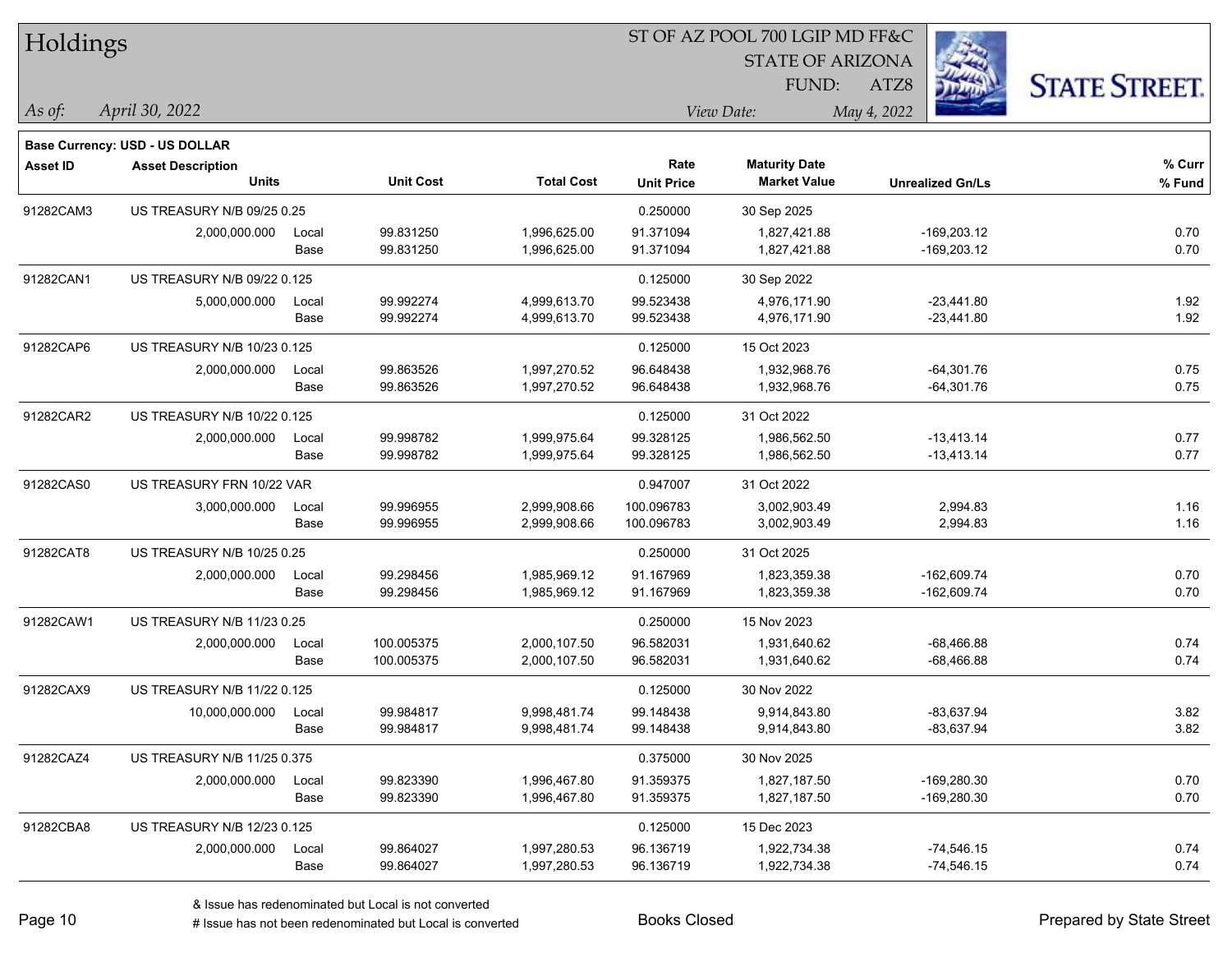| Holdings        |                                       |       |                  |                   | ST OF AZ POOL 700 LGIP MD FF&C |                                             |                         |                      |  |  |
|-----------------|---------------------------------------|-------|------------------|-------------------|--------------------------------|---------------------------------------------|-------------------------|----------------------|--|--|
|                 |                                       |       |                  |                   |                                | <b>STATE OF ARIZONA</b>                     |                         |                      |  |  |
|                 |                                       |       |                  |                   |                                | FUND:                                       | ATZ8                    | <b>STATE STREET.</b> |  |  |
| As of:          | April 30, 2022                        |       |                  |                   |                                | View Date:                                  | May 4, 2022             |                      |  |  |
|                 |                                       |       |                  |                   |                                |                                             |                         |                      |  |  |
|                 | <b>Base Currency: USD - US DOLLAR</b> |       |                  |                   |                                |                                             |                         |                      |  |  |
| <b>Asset ID</b> | <b>Asset Description</b><br>Units     |       | <b>Unit Cost</b> | <b>Total Cost</b> | Rate<br><b>Unit Price</b>      | <b>Maturity Date</b><br><b>Market Value</b> | <b>Unrealized Gn/Ls</b> | % Curr<br>% Fund     |  |  |
|                 |                                       |       |                  |                   |                                |                                             |                         |                      |  |  |
| 91282CAM3       | US TREASURY N/B 09/25 0.25            |       |                  |                   | 0.250000                       | 30 Sep 2025                                 |                         |                      |  |  |
|                 | 2,000,000.000                         | Local | 99.831250        | 1,996,625.00      | 91.371094                      | 1,827,421.88                                | $-169,203.12$           | 0.70                 |  |  |
|                 |                                       | Base  | 99.831250        | 1,996,625.00      | 91.371094                      | 1,827,421.88                                | $-169,203.12$           | 0.70                 |  |  |
| 91282CAN1       | US TREASURY N/B 09/22 0.125           |       |                  |                   | 0.125000                       | 30 Sep 2022                                 |                         |                      |  |  |
|                 | 5,000,000.000                         | Local | 99.992274        | 4,999,613.70      | 99.523438                      | 4,976,171.90                                | $-23,441.80$            | 1.92                 |  |  |
|                 |                                       | Base  | 99.992274        | 4,999,613.70      | 99.523438                      | 4,976,171.90                                | $-23,441.80$            | 1.92                 |  |  |
| 91282CAP6       | US TREASURY N/B 10/23 0.125           |       |                  |                   | 0.125000                       | 15 Oct 2023                                 |                         |                      |  |  |
|                 | 2,000,000.000                         | Local | 99.863526        | 1,997,270.52      | 96.648438                      | 1,932,968.76                                | $-64,301.76$            | 0.75                 |  |  |
|                 |                                       | Base  | 99.863526        | 1,997,270.52      | 96.648438                      | 1,932,968.76                                | $-64,301.76$            | 0.75                 |  |  |
| 91282CAR2       | US TREASURY N/B 10/22 0.125           |       |                  |                   | 0.125000                       | 31 Oct 2022                                 |                         |                      |  |  |
|                 | 2,000,000.000                         | Local | 99.998782        | 1,999,975.64      | 99.328125                      | 1,986,562.50                                | $-13,413.14$            | 0.77                 |  |  |
|                 |                                       | Base  | 99.998782        | 1,999,975.64      | 99.328125                      | 1,986,562.50                                | $-13,413.14$            | 0.77                 |  |  |
| 91282CAS0       | US TREASURY FRN 10/22 VAR             |       |                  |                   | 0.947007                       | 31 Oct 2022                                 |                         |                      |  |  |
|                 | 3,000,000.000                         | Local | 99.996955        | 2,999,908.66      | 100.096783                     | 3,002,903.49                                | 2,994.83                | 1.16                 |  |  |
|                 |                                       | Base  | 99.996955        | 2,999,908.66      | 100.096783                     | 3,002,903.49                                | 2,994.83                | 1.16                 |  |  |
| 91282CAT8       | US TREASURY N/B 10/25 0.25            |       |                  |                   | 0.250000                       | 31 Oct 2025                                 |                         |                      |  |  |
|                 | 2,000,000.000                         | Local | 99.298456        | 1,985,969.12      | 91.167969                      | 1,823,359.38                                | $-162,609.74$           | 0.70                 |  |  |
|                 |                                       | Base  | 99.298456        | 1,985,969.12      | 91.167969                      | 1,823,359.38                                | $-162,609.74$           | 0.70                 |  |  |
| 91282CAW1       | US TREASURY N/B 11/23 0.25            |       |                  |                   | 0.250000                       | 15 Nov 2023                                 |                         |                      |  |  |
|                 | 2,000,000.000                         | Local | 100.005375       | 2,000,107.50      | 96.582031                      | 1,931,640.62                                | $-68,466.88$            | 0.74                 |  |  |
|                 |                                       | Base  | 100.005375       | 2,000,107.50      | 96.582031                      | 1,931,640.62                                | $-68,466.88$            | 0.74                 |  |  |
| 91282CAX9       | US TREASURY N/B 11/22 0.125           |       |                  |                   | 0.125000                       | 30 Nov 2022                                 |                         |                      |  |  |
|                 | 10,000,000.000                        | Local | 99.984817        | 9,998,481.74      | 99.148438                      | 9,914,843.80                                | $-83.637.94$            | 3.82                 |  |  |
|                 |                                       | Base  | 99.984817        | 9,998,481.74      | 99.148438                      | 9,914,843.80                                | $-83,637.94$            | 3.82                 |  |  |
| 91282CAZ4       | US TREASURY N/B 11/25 0.375           |       |                  |                   | 0.375000                       | 30 Nov 2025                                 |                         |                      |  |  |
|                 | 2,000,000.000                         | Local | 99.823390        | 1,996,467.80      | 91.359375                      | 1,827,187.50                                | -169,280.30             | 0.70                 |  |  |
|                 |                                       | Base  | 99.823390        | 1,996,467.80      | 91.359375                      | 1,827,187.50                                | -169,280.30             | 0.70                 |  |  |
| 91282CBA8       | US TREASURY N/B 12/23 0.125           |       |                  |                   | 0.125000                       | 15 Dec 2023                                 |                         |                      |  |  |
|                 | 2,000,000.000                         | Local | 99.864027        | 1,997,280.53      | 96.136719                      | 1,922,734.38                                | $-74,546.15$            | 0.74                 |  |  |
|                 |                                       | Base  | 99.864027        | 1,997,280.53      | 96.136719                      | 1,922,734.38                                | $-74,546.15$            | 0.74                 |  |  |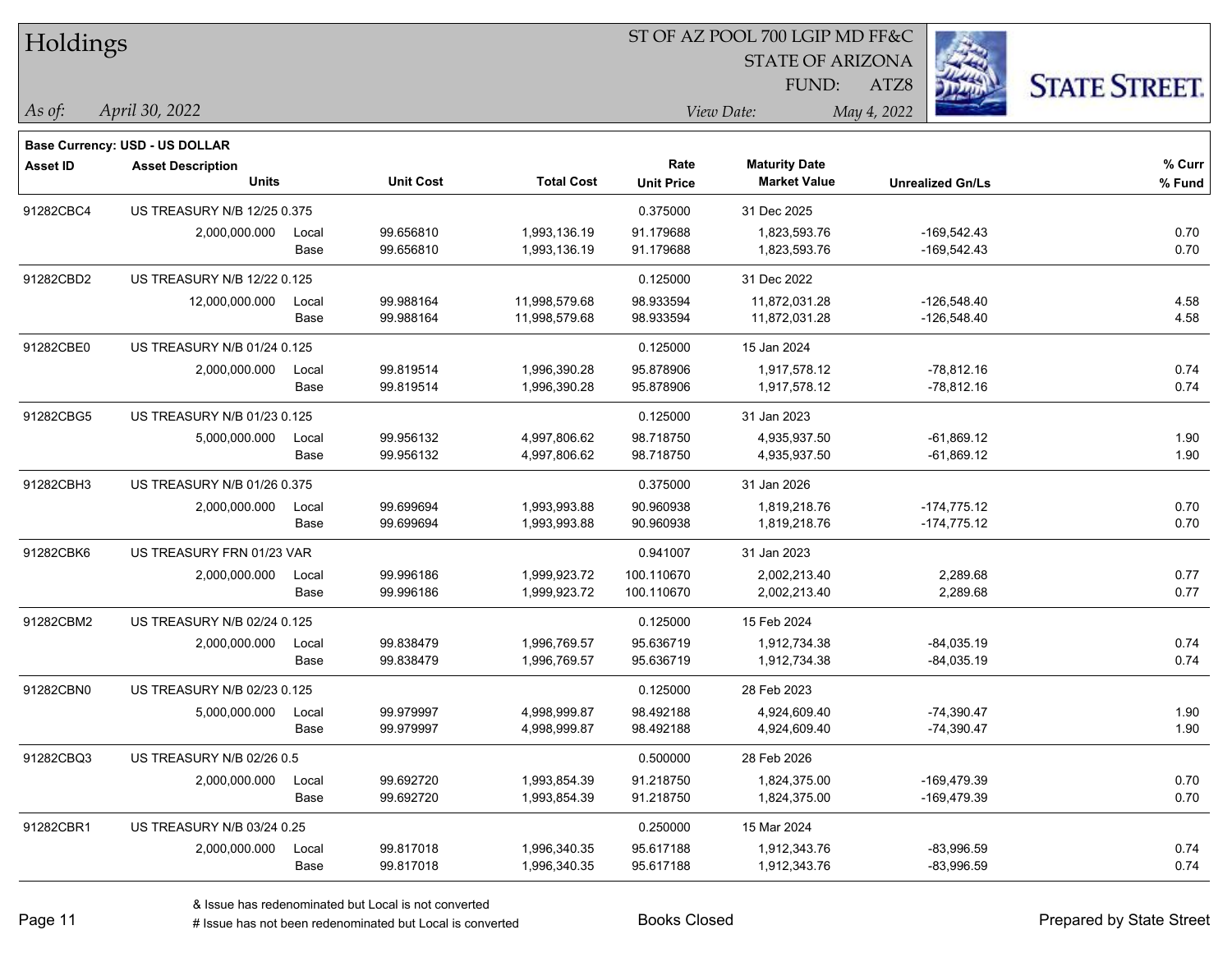| Holdings        |                                |       |                  |                   |                   | ST OF AZ POOL 700 LGIP MD FF&C |                         |                      |
|-----------------|--------------------------------|-------|------------------|-------------------|-------------------|--------------------------------|-------------------------|----------------------|
|                 |                                |       |                  |                   |                   | <b>STATE OF ARIZONA</b>        |                         |                      |
|                 |                                |       |                  |                   |                   | FUND:                          | ATZ8                    | <b>STATE STREET.</b> |
| As of:          | April 30, 2022                 |       |                  |                   |                   | View Date:                     | May 4, 2022             |                      |
|                 | Base Currency: USD - US DOLLAR |       |                  |                   |                   |                                |                         |                      |
| <b>Asset ID</b> | <b>Asset Description</b>       |       |                  |                   | Rate              | <b>Maturity Date</b>           |                         | % Curr               |
|                 | <b>Units</b>                   |       | <b>Unit Cost</b> | <b>Total Cost</b> | <b>Unit Price</b> | <b>Market Value</b>            | <b>Unrealized Gn/Ls</b> | % Fund               |
| 91282CBC4       | US TREASURY N/B 12/25 0.375    |       |                  |                   | 0.375000          | 31 Dec 2025                    |                         |                      |
|                 | 2,000,000.000                  | Local | 99.656810        | 1,993,136.19      | 91.179688         | 1,823,593.76                   | $-169,542.43$           | 0.70                 |
|                 |                                | Base  | 99.656810        | 1,993,136.19      | 91.179688         | 1,823,593.76                   | $-169,542.43$           | 0.70                 |
| 91282CBD2       | US TREASURY N/B 12/22 0.125    |       |                  |                   | 0.125000          | 31 Dec 2022                    |                         |                      |
|                 | 12,000,000.000                 | Local | 99.988164        | 11,998,579.68     | 98.933594         | 11,872,031.28                  | $-126,548.40$           | 4.58                 |
|                 |                                | Base  | 99.988164        | 11,998,579.68     | 98.933594         | 11,872,031.28                  | $-126,548.40$           | 4.58                 |
| 91282CBE0       | US TREASURY N/B 01/24 0.125    |       |                  |                   | 0.125000          | 15 Jan 2024                    |                         |                      |
|                 | 2,000,000.000                  | Local | 99.819514        | 1,996,390.28      | 95.878906         | 1,917,578.12                   | $-78,812.16$            | 0.74                 |
|                 |                                | Base  | 99.819514        | 1,996,390.28      | 95.878906         | 1,917,578.12                   | $-78,812.16$            | 0.74                 |
| 91282CBG5       | US TREASURY N/B 01/23 0.125    |       |                  |                   | 0.125000          | 31 Jan 2023                    |                         |                      |
|                 | 5,000,000.000                  | Local | 99.956132        | 4,997,806.62      | 98.718750         | 4,935,937.50                   | $-61,869.12$            | 1.90                 |
|                 |                                | Base  | 99.956132        | 4,997,806.62      | 98.718750         | 4,935,937.50                   | $-61,869.12$            | 1.90                 |
| 91282CBH3       | US TREASURY N/B 01/26 0.375    |       |                  |                   | 0.375000          | 31 Jan 2026                    |                         |                      |
|                 | 2,000,000.000                  | Local | 99.699694        | 1,993,993.88      | 90.960938         | 1,819,218.76                   | $-174,775.12$           | 0.70                 |
|                 |                                | Base  | 99.699694        | 1,993,993.88      | 90.960938         | 1,819,218.76                   | $-174,775.12$           | 0.70                 |
| 91282CBK6       | US TREASURY FRN 01/23 VAR      |       |                  |                   | 0.941007          | 31 Jan 2023                    |                         |                      |
|                 | 2,000,000.000                  | Local | 99.996186        | 1,999,923.72      | 100.110670        | 2,002,213.40                   | 2,289.68                | 0.77                 |
|                 |                                | Base  | 99.996186        | 1,999,923.72      | 100.110670        | 2,002,213.40                   | 2,289.68                | 0.77                 |
| 91282CBM2       | US TREASURY N/B 02/24 0.125    |       |                  |                   | 0.125000          | 15 Feb 2024                    |                         |                      |
|                 | 2,000,000.000                  | Local | 99.838479        | 1,996,769.57      | 95.636719         | 1,912,734.38                   | $-84,035.19$            | 0.74                 |
|                 |                                | Base  | 99.838479        | 1,996,769.57      | 95.636719         | 1,912,734.38                   | $-84,035.19$            | 0.74                 |
| 91282CBN0       | US TREASURY N/B 02/23 0.125    |       |                  |                   | 0.125000          | 28 Feb 2023                    |                         |                      |
|                 | 5,000,000.000                  | Local | 99.979997        | 4,998,999.87      | 98.492188         | 4,924,609.40                   | $-74,390.47$            | 1.90                 |
|                 |                                | Base  | 99.979997        | 4,998,999.87      | 98.492188         | 4,924,609.40                   | $-74,390.47$            | 1.90                 |
| 91282CBQ3       | US TREASURY N/B 02/26 0.5      |       |                  |                   | 0.500000          | 28 Feb 2026                    |                         |                      |
|                 | 2,000,000.000                  | Local | 99.692720        | 1,993,854.39      | 91.218750         | 1,824,375.00                   | -169,479.39             | 0.70                 |
|                 |                                | Base  | 99.692720        | 1,993,854.39      | 91.218750         | 1,824,375.00                   | -169,479.39             | 0.70                 |
| 91282CBR1       | US TREASURY N/B 03/24 0.25     |       |                  |                   | 0.250000          | 15 Mar 2024                    |                         |                      |
|                 | 2,000,000.000                  | Local | 99.817018        | 1,996,340.35      | 95.617188         | 1,912,343.76                   | $-83,996.59$            | 0.74                 |
|                 |                                | Base  | 99.817018        | 1,996,340.35      | 95.617188         | 1,912,343.76                   | $-83,996.59$            | 0.74                 |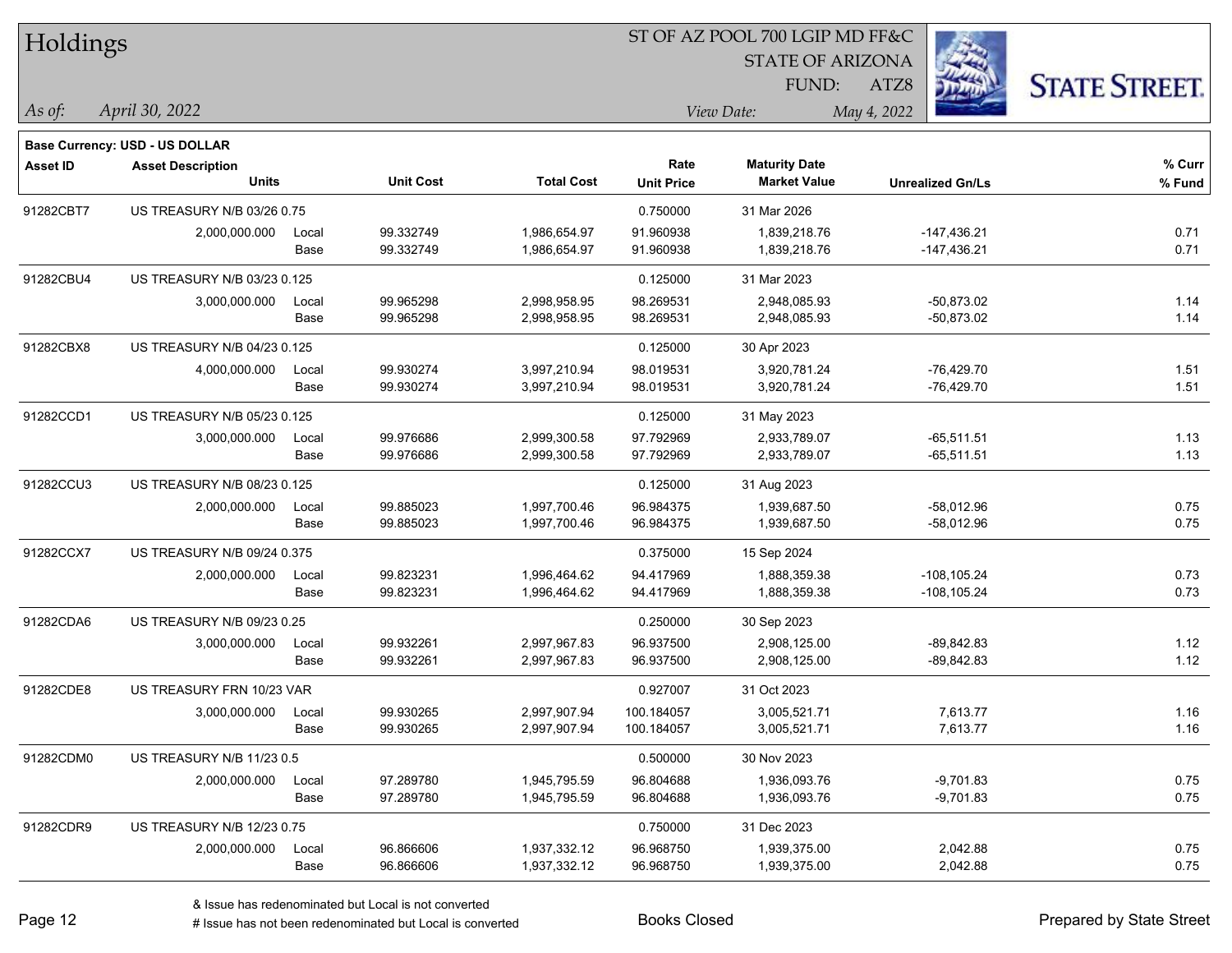| Holdings        |                                       |       |                  |                   | ST OF AZ POOL 700 LGIP MD FF&C |                                             |                         |                      |  |  |
|-----------------|---------------------------------------|-------|------------------|-------------------|--------------------------------|---------------------------------------------|-------------------------|----------------------|--|--|
|                 |                                       |       |                  |                   |                                | <b>STATE OF ARIZONA</b>                     |                         |                      |  |  |
|                 |                                       |       |                  |                   |                                | FUND:                                       | ATZ8                    | <b>STATE STREET.</b> |  |  |
| As of:          | April 30, 2022                        |       |                  |                   |                                | View Date:                                  | May 4, 2022             |                      |  |  |
|                 |                                       |       |                  |                   |                                |                                             |                         |                      |  |  |
|                 | <b>Base Currency: USD - US DOLLAR</b> |       |                  |                   |                                |                                             |                         |                      |  |  |
| <b>Asset ID</b> | <b>Asset Description</b><br>Units     |       | <b>Unit Cost</b> | <b>Total Cost</b> | Rate<br><b>Unit Price</b>      | <b>Maturity Date</b><br><b>Market Value</b> | <b>Unrealized Gn/Ls</b> | % Curr<br>% Fund     |  |  |
|                 |                                       |       |                  |                   |                                |                                             |                         |                      |  |  |
| 91282CBT7       | US TREASURY N/B 03/26 0.75            |       |                  |                   | 0.750000                       | 31 Mar 2026                                 |                         |                      |  |  |
|                 | 2,000,000.000                         | Local | 99.332749        | 1,986,654.97      | 91.960938                      | 1,839,218.76                                | $-147,436.21$           | 0.71                 |  |  |
|                 |                                       | Base  | 99.332749        | 1,986,654.97      | 91.960938                      | 1,839,218.76                                | $-147,436.21$           | 0.71                 |  |  |
| 91282CBU4       | US TREASURY N/B 03/23 0.125           |       |                  |                   | 0.125000                       | 31 Mar 2023                                 |                         |                      |  |  |
|                 | 3,000,000.000                         | Local | 99.965298        | 2,998,958.95      | 98.269531                      | 2,948,085.93                                | $-50,873.02$            | 1.14                 |  |  |
|                 |                                       | Base  | 99.965298        | 2,998,958.95      | 98.269531                      | 2,948,085.93                                | $-50,873.02$            | 1.14                 |  |  |
| 91282CBX8       | US TREASURY N/B 04/23 0.125           |       |                  |                   | 0.125000                       | 30 Apr 2023                                 |                         |                      |  |  |
|                 | 4,000,000.000                         | Local | 99.930274        | 3,997,210.94      | 98.019531                      | 3,920,781.24                                | $-76,429.70$            | 1.51                 |  |  |
|                 |                                       | Base  | 99.930274        | 3,997,210.94      | 98.019531                      | 3,920,781.24                                | $-76,429.70$            | 1.51                 |  |  |
| 91282CCD1       | US TREASURY N/B 05/23 0.125           |       |                  |                   | 0.125000                       | 31 May 2023                                 |                         |                      |  |  |
|                 | 3,000,000.000                         | Local | 99.976686        | 2,999,300.58      | 97.792969                      | 2,933,789.07                                | $-65,511.51$            | 1.13                 |  |  |
|                 |                                       | Base  | 99.976686        | 2,999,300.58      | 97.792969                      | 2,933,789.07                                | $-65,511.51$            | 1.13                 |  |  |
| 91282CCU3       | US TREASURY N/B 08/23 0.125           |       |                  |                   | 0.125000                       | 31 Aug 2023                                 |                         |                      |  |  |
|                 | 2,000,000.000                         | Local | 99.885023        | 1,997,700.46      | 96.984375                      | 1,939,687.50                                | $-58,012.96$            | 0.75                 |  |  |
|                 |                                       | Base  | 99.885023        | 1,997,700.46      | 96.984375                      | 1,939,687.50                                | $-58,012.96$            | 0.75                 |  |  |
| 91282CCX7       | US TREASURY N/B 09/24 0.375           |       |                  |                   | 0.375000                       | 15 Sep 2024                                 |                         |                      |  |  |
|                 | 2,000,000.000                         | Local | 99.823231        | 1,996,464.62      | 94.417969                      | 1,888,359.38                                | $-108, 105.24$          | 0.73                 |  |  |
|                 |                                       | Base  | 99.823231        | 1,996,464.62      | 94.417969                      | 1,888,359.38                                | $-108, 105.24$          | 0.73                 |  |  |
| 91282CDA6       | US TREASURY N/B 09/23 0.25            |       |                  |                   | 0.250000                       | 30 Sep 2023                                 |                         |                      |  |  |
|                 | 3,000,000.000                         | Local | 99.932261        | 2,997,967.83      | 96.937500                      | 2,908,125.00                                | $-89,842.83$            | 1.12                 |  |  |
|                 |                                       | Base  | 99.932261        | 2,997,967.83      | 96.937500                      | 2,908,125.00                                | $-89,842.83$            | 1.12                 |  |  |
| 91282CDE8       | US TREASURY FRN 10/23 VAR             |       |                  |                   | 0.927007                       | 31 Oct 2023                                 |                         |                      |  |  |
|                 | 3,000,000.000                         | Local | 99.930265        | 2,997,907.94      | 100.184057                     | 3,005,521.71                                | 7,613.77                | 1.16                 |  |  |
|                 |                                       | Base  | 99.930265        | 2,997,907.94      | 100.184057                     | 3,005,521.71                                | 7,613.77                | 1.16                 |  |  |
| 91282CDM0       | US TREASURY N/B 11/23 0.5             |       |                  |                   | 0.500000                       | 30 Nov 2023                                 |                         |                      |  |  |
|                 | 2,000,000.000                         | Local | 97.289780        | 1,945,795.59      | 96.804688                      | 1,936,093.76                                | $-9,701.83$             | 0.75                 |  |  |
|                 |                                       | Base  | 97.289780        | 1,945,795.59      | 96.804688                      | 1,936,093.76                                | $-9,701.83$             | 0.75                 |  |  |
| 91282CDR9       | US TREASURY N/B 12/23 0.75            |       |                  |                   | 0.750000                       | 31 Dec 2023                                 |                         |                      |  |  |
|                 | 2,000,000.000                         | Local | 96.866606        | 1,937,332.12      | 96.968750                      | 1,939,375.00                                | 2,042.88                | 0.75                 |  |  |
|                 |                                       | Base  | 96.866606        | 1,937,332.12      | 96.968750                      | 1,939,375.00                                | 2,042.88                | 0.75                 |  |  |
|                 |                                       |       |                  |                   |                                |                                             |                         |                      |  |  |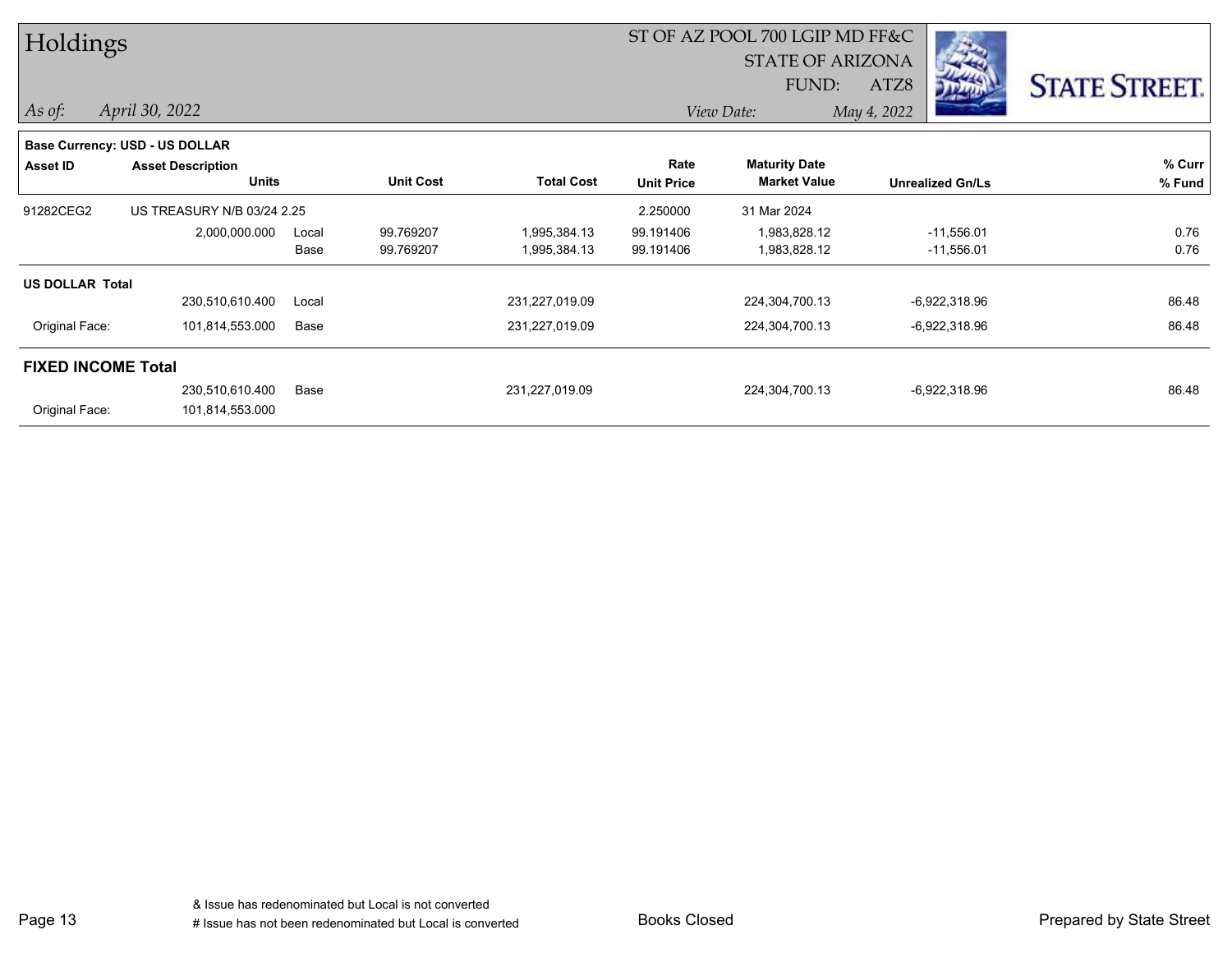| Holdings                  |                                |       |                  |                   | ST OF AZ POOL 700 LGIP MD FF&C |                         |                         |                      |  |
|---------------------------|--------------------------------|-------|------------------|-------------------|--------------------------------|-------------------------|-------------------------|----------------------|--|
|                           |                                |       |                  |                   |                                | <b>STATE OF ARIZONA</b> | -33                     |                      |  |
|                           |                                |       |                  |                   |                                | FUND:                   | ATZ8                    | <b>STATE STREET.</b> |  |
| $\vert$ As of:            | April 30, 2022                 |       |                  |                   |                                | View Date:              | May 4, 2022             |                      |  |
|                           | Base Currency: USD - US DOLLAR |       |                  |                   |                                |                         |                         |                      |  |
| Asset ID                  | <b>Asset Description</b>       |       |                  |                   | Rate                           | <b>Maturity Date</b>    |                         | % Curr               |  |
|                           | <b>Units</b>                   |       | <b>Unit Cost</b> | <b>Total Cost</b> | <b>Unit Price</b>              | <b>Market Value</b>     | <b>Unrealized Gn/Ls</b> | % Fund               |  |
| 91282CEG2                 | US TREASURY N/B 03/24 2.25     |       |                  |                   | 2.250000                       | 31 Mar 2024             |                         |                      |  |
|                           | 2,000,000.000                  | Local | 99.769207        | 1,995,384.13      | 99.191406                      | 1,983,828.12            | $-11,556.01$            | 0.76                 |  |
|                           |                                | Base  | 99.769207        | 1,995,384.13      | 99.191406                      | 1,983,828.12            | $-11,556.01$            | 0.76                 |  |
| <b>US DOLLAR Total</b>    |                                |       |                  |                   |                                |                         |                         |                      |  |
|                           | 230,510,610.400                | Local |                  | 231,227,019.09    |                                | 224,304,700.13          | $-6,922,318.96$         | 86.48                |  |
| Original Face:            | 101,814,553.000                | Base  |                  | 231,227,019.09    |                                | 224,304,700.13          | $-6,922,318.96$         | 86.48                |  |
| <b>FIXED INCOME Total</b> |                                |       |                  |                   |                                |                         |                         |                      |  |
|                           | 230,510,610.400                | Base  |                  | 231,227,019.09    |                                | 224,304,700.13          | $-6,922,318.96$         | 86.48                |  |
| Original Face:            | 101,814,553.000                |       |                  |                   |                                |                         |                         |                      |  |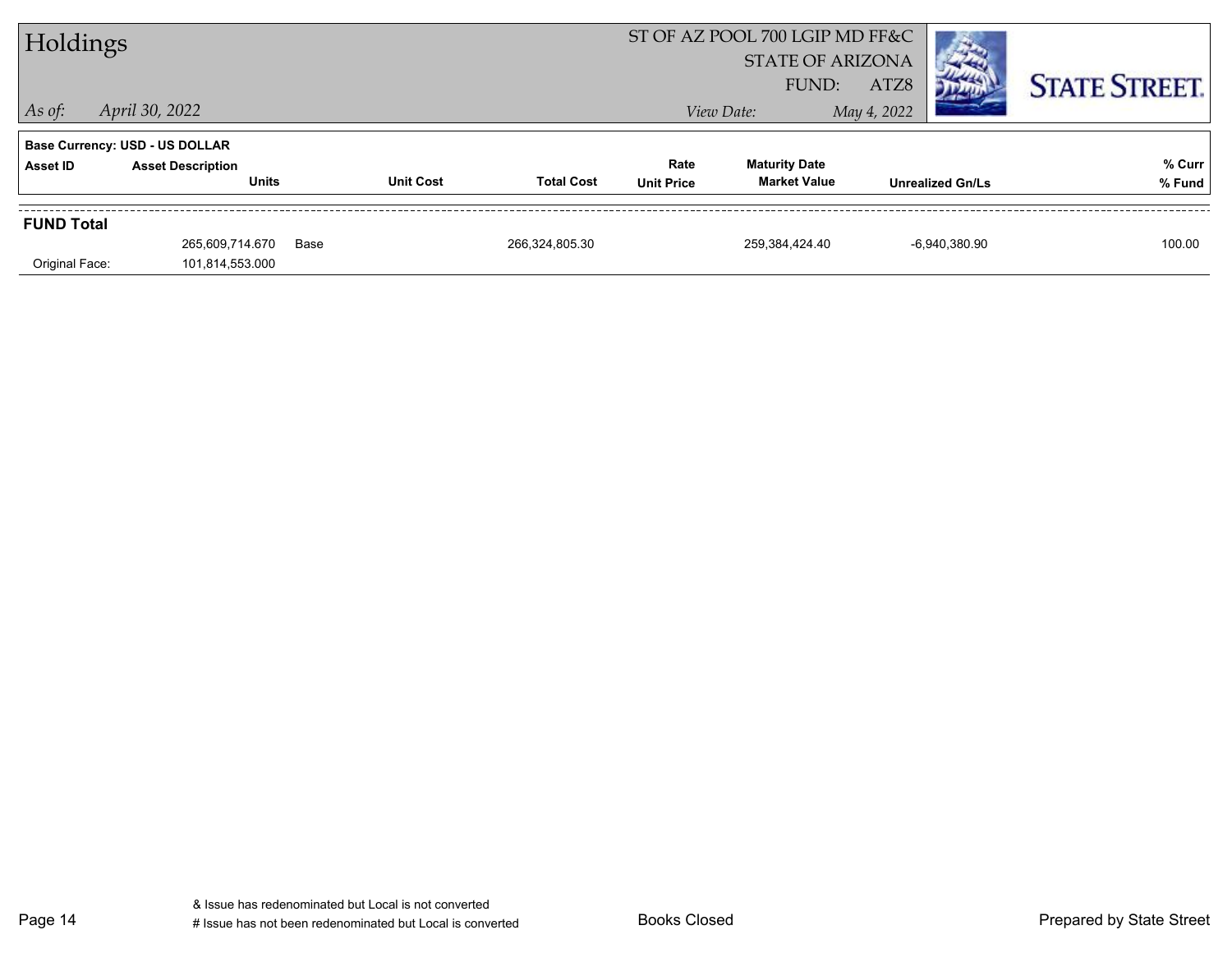| Holdings          |                                                                   |                  |                   |                   | ST OF AZ POOL 700 LGIP MD FF&C<br><b>STATE OF ARIZONA</b> |                         |                      |
|-------------------|-------------------------------------------------------------------|------------------|-------------------|-------------------|-----------------------------------------------------------|-------------------------|----------------------|
| $\vert$ As of:    | April 30, 2022                                                    |                  |                   |                   | FUND:<br>View Date:                                       | ATZ8<br>May 4, 2022     | <b>STATE STREET.</b> |
| <b>Asset ID</b>   | <b>Base Currency: USD - US DOLLAR</b><br><b>Asset Description</b> |                  |                   | Rate              | <b>Maturity Date</b>                                      |                         | % Curr               |
|                   | <b>Units</b>                                                      | <b>Unit Cost</b> | <b>Total Cost</b> | <b>Unit Price</b> | <b>Market Value</b>                                       | <b>Unrealized Gn/Ls</b> | % Fund               |
| <b>FUND Total</b> |                                                                   |                  |                   |                   |                                                           |                         |                      |
|                   | 265,609,714.670                                                   | Base             | 266,324,805.30    |                   | 259,384,424.40                                            | -6.940.380.90           | 100.00               |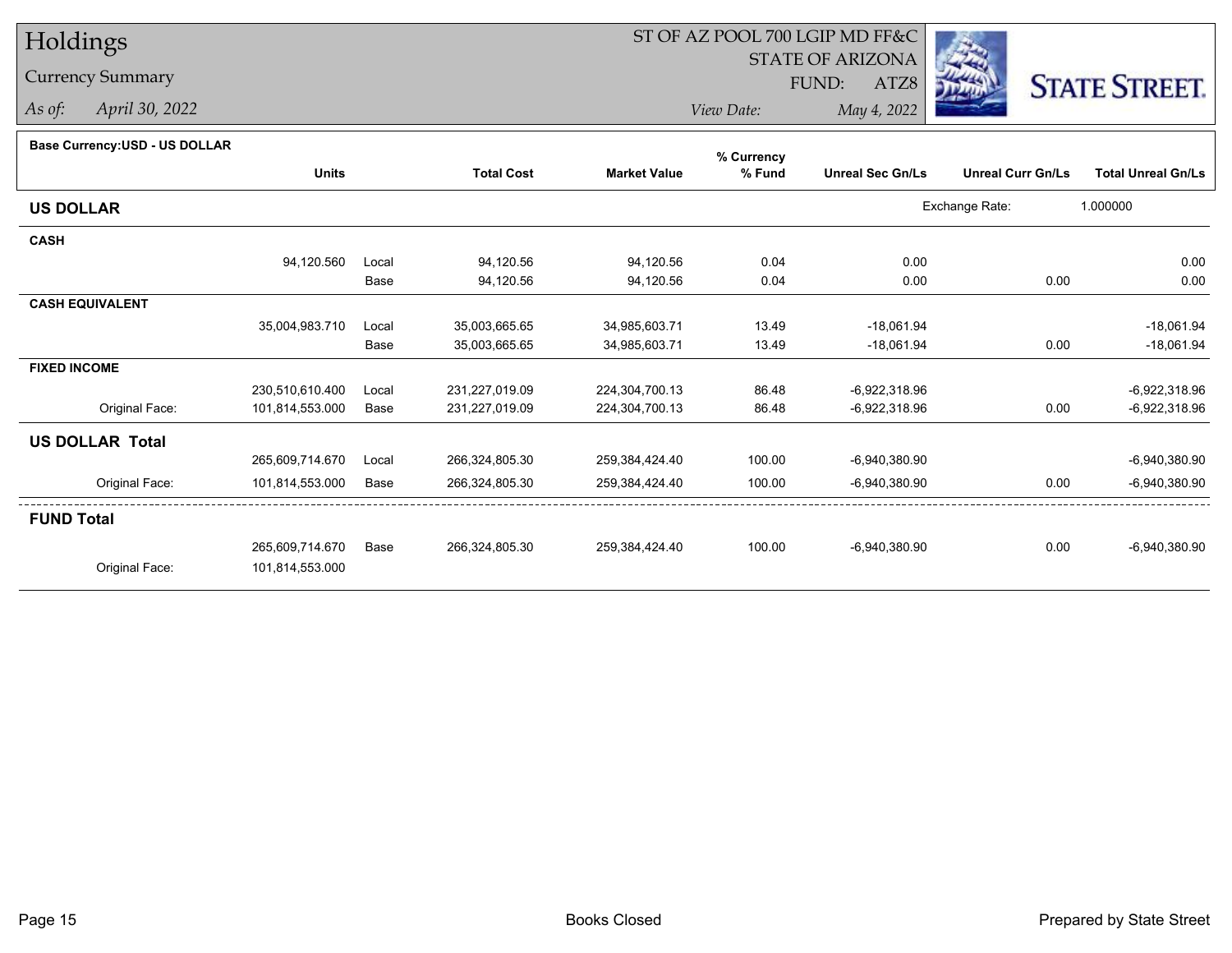# Holdings

Currency Summary

*As of: April 30, 2022*

## ST OF AZ POOL 700 LGIP MD FF&C

STATE OF ARIZONA

FUND:

ATZ8



*View Date:May 4, 2022*

### **Base Currency:USD - US DOLLAR**

|                        |                 |       |                   |                     | % Currency |                         |                          |                           |
|------------------------|-----------------|-------|-------------------|---------------------|------------|-------------------------|--------------------------|---------------------------|
|                        | <b>Units</b>    |       | <b>Total Cost</b> | <b>Market Value</b> | % Fund     | <b>Unreal Sec Gn/Ls</b> | <b>Unreal Curr Gn/Ls</b> | <b>Total Unreal Gn/Ls</b> |
| <b>US DOLLAR</b>       |                 |       |                   |                     |            |                         | Exchange Rate:           | 1.000000                  |
| <b>CASH</b>            |                 |       |                   |                     |            |                         |                          |                           |
|                        | 94,120.560      | Local | 94,120.56         | 94,120.56           | 0.04       | 0.00                    |                          | 0.00                      |
|                        |                 | Base  | 94,120.56         | 94,120.56           | 0.04       | 0.00                    | 0.00                     | 0.00                      |
| <b>CASH EQUIVALENT</b> |                 |       |                   |                     |            |                         |                          |                           |
|                        | 35,004,983.710  | Local | 35,003,665.65     | 34,985,603.71       | 13.49      | $-18,061.94$            |                          | $-18,061.94$              |
|                        |                 | Base  | 35,003,665.65     | 34,985,603.71       | 13.49      | $-18,061.94$            | 0.00                     | $-18,061.94$              |
| <b>FIXED INCOME</b>    |                 |       |                   |                     |            |                         |                          |                           |
|                        | 230,510,610.400 | Local | 231,227,019.09    | 224,304,700.13      | 86.48      | $-6,922,318.96$         |                          | $-6,922,318.96$           |
| Original Face:         | 101,814,553.000 | Base  | 231,227,019.09    | 224,304,700.13      | 86.48      | -6,922,318.96           | 0.00                     | -6,922,318.96             |
| <b>US DOLLAR Total</b> |                 |       |                   |                     |            |                         |                          |                           |
|                        | 265,609,714.670 | Local | 266,324,805.30    | 259,384,424.40      | 100.00     | $-6,940,380.90$         |                          | $-6,940,380.90$           |
| Original Face:         | 101,814,553.000 | Base  | 266,324,805.30    | 259,384,424.40      | 100.00     | $-6,940,380.90$         | 0.00                     | $-6,940,380.90$           |
| <b>FUND Total</b>      |                 |       |                   |                     |            |                         |                          |                           |
|                        | 265,609,714.670 | Base  | 266,324,805.30    | 259,384,424.40      | 100.00     | $-6,940,380.90$         | 0.00                     | $-6,940,380.90$           |
| Original Face:         | 101,814,553.000 |       |                   |                     |            |                         |                          |                           |
|                        |                 |       |                   |                     |            |                         |                          |                           |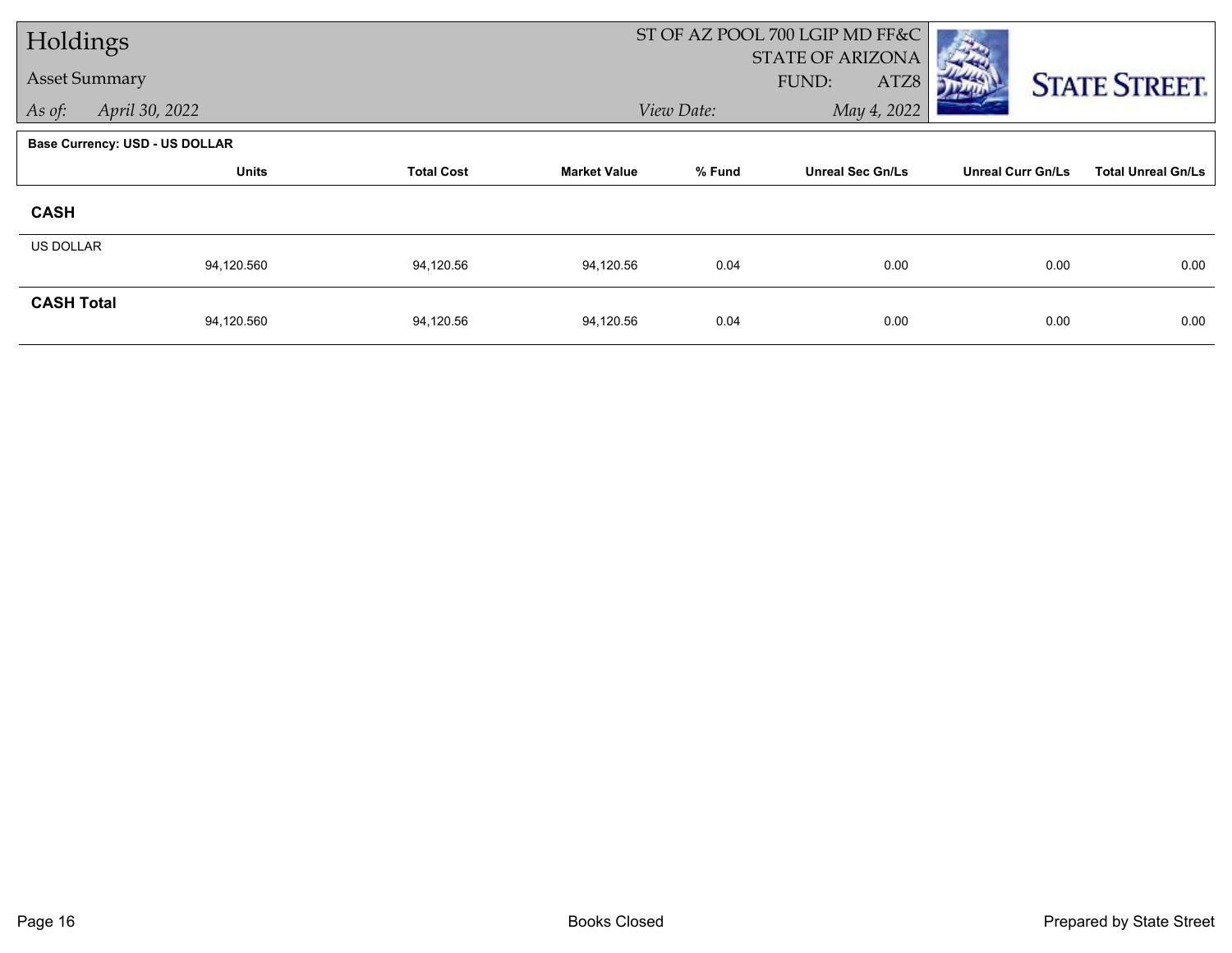| Holdings             |                                       |                   |                     |            | ST OF AZ POOL 700 LGIP MD FF&C           |                          |                           |
|----------------------|---------------------------------------|-------------------|---------------------|------------|------------------------------------------|--------------------------|---------------------------|
| <b>Asset Summary</b> |                                       |                   |                     |            | <b>STATE OF ARIZONA</b><br>FUND:<br>ATZ8 |                          | <b>STATE STREET.</b>      |
| As of:               | April 30, 2022                        |                   |                     | View Date: | May 4, 2022                              |                          |                           |
|                      | <b>Base Currency: USD - US DOLLAR</b> |                   |                     |            |                                          |                          |                           |
|                      | <b>Units</b>                          | <b>Total Cost</b> | <b>Market Value</b> | % Fund     | <b>Unreal Sec Gn/Ls</b>                  | <b>Unreal Curr Gn/Ls</b> | <b>Total Unreal Gn/Ls</b> |
| <b>CASH</b>          |                                       |                   |                     |            |                                          |                          |                           |
| <b>US DOLLAR</b>     |                                       |                   |                     |            |                                          |                          |                           |
|                      | 94,120.560                            | 94,120.56         | 94,120.56           | 0.04       | 0.00                                     | 0.00                     | 0.00                      |
| <b>CASH Total</b>    | 94,120.560                            | 94,120.56         | 94,120.56           | 0.04       | 0.00                                     | 0.00                     | 0.00                      |
|                      |                                       |                   |                     |            |                                          |                          |                           |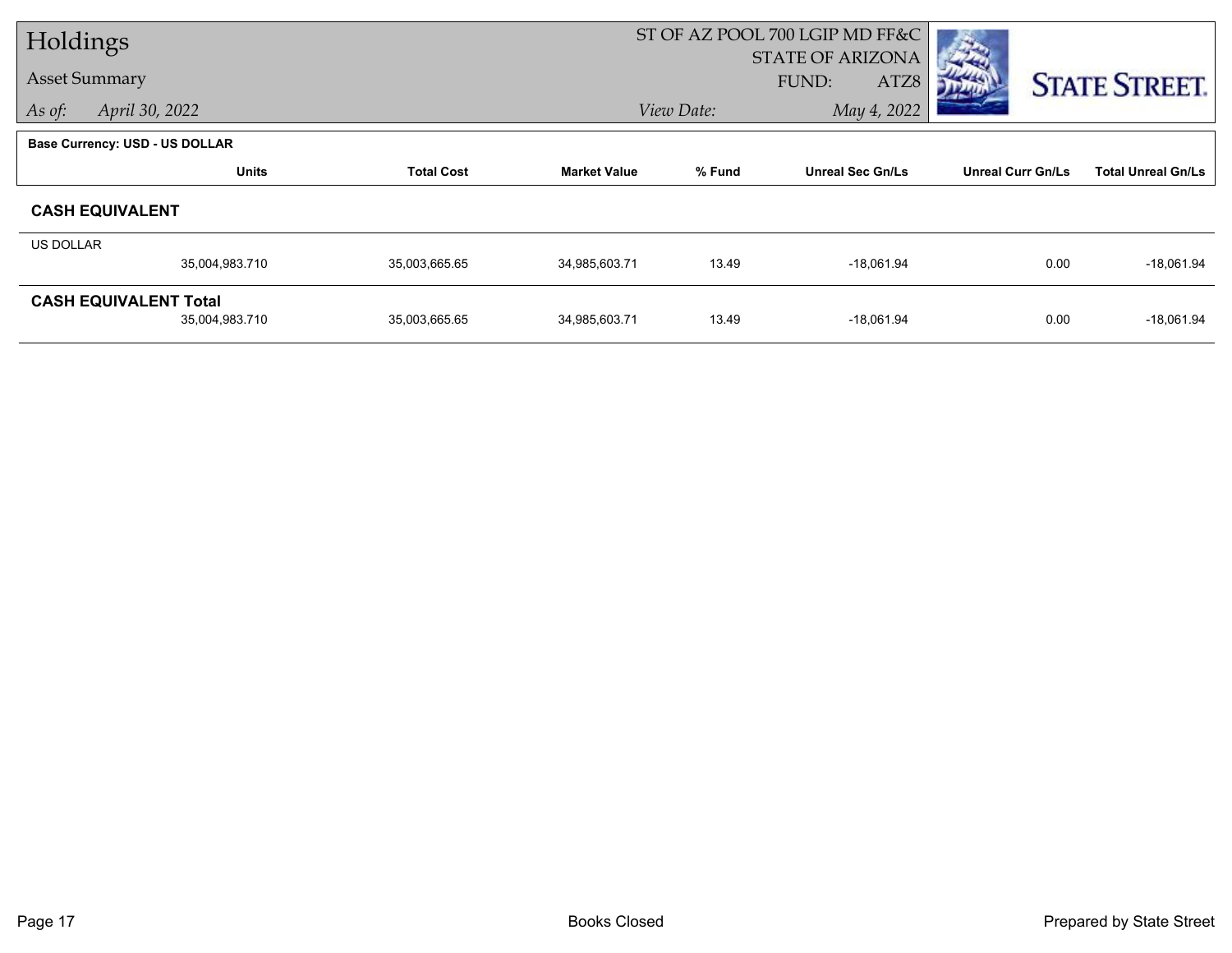| Holdings             |                                |                   |                     |            | ST OF AZ POOL 700 LGIP MD FF&C |                          |                           |
|----------------------|--------------------------------|-------------------|---------------------|------------|--------------------------------|--------------------------|---------------------------|
|                      |                                |                   |                     |            | <b>STATE OF ARIZONA</b>        |                          |                           |
| <b>Asset Summary</b> |                                |                   |                     |            | <b>FUND:</b><br>ATZ8           |                          | <b>STATE STREET.</b>      |
| As of:               | April 30, 2022                 |                   |                     | View Date: | May 4, 2022                    |                          |                           |
|                      | Base Currency: USD - US DOLLAR |                   |                     |            |                                |                          |                           |
|                      | <b>Units</b>                   | <b>Total Cost</b> | <b>Market Value</b> | % Fund     | <b>Unreal Sec Gn/Ls</b>        | <b>Unreal Curr Gn/Ls</b> | <b>Total Unreal Gn/Ls</b> |
|                      | <b>CASH EQUIVALENT</b>         |                   |                     |            |                                |                          |                           |
| US DOLLAR            |                                |                   |                     |            |                                |                          |                           |
|                      | 35,004,983.710                 | 35,003,665.65     | 34,985,603.71       | 13.49      | $-18,061.94$                   | 0.00                     | $-18,061.94$              |
|                      | <b>CASH EQUIVALENT Total</b>   |                   |                     |            |                                |                          |                           |
|                      | 35,004,983.710                 | 35,003,665.65     | 34,985,603.71       | 13.49      | $-18,061.94$                   | 0.00                     | $-18,061.94$              |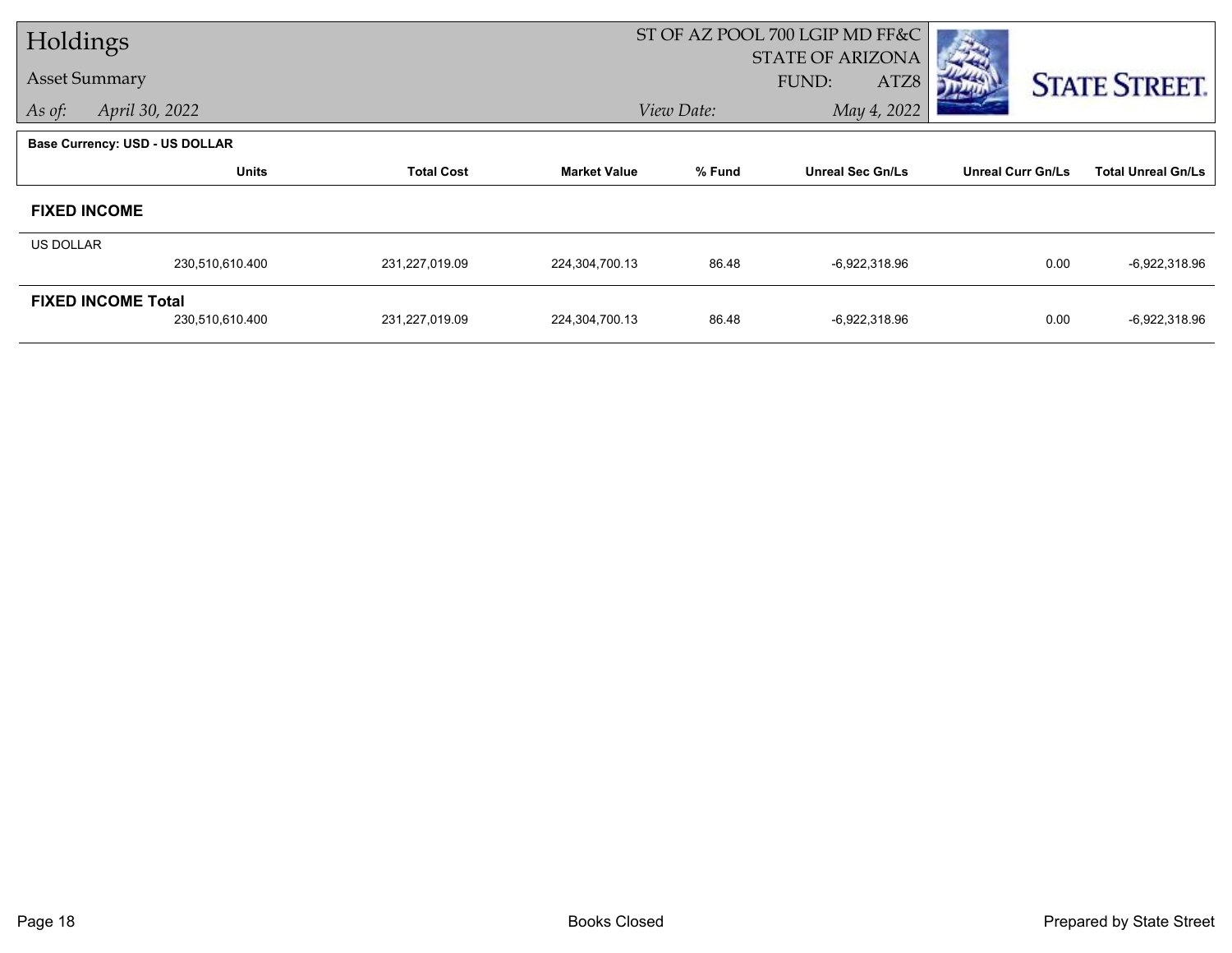| Holdings  |                                       |                   |                     |            | ST OF AZ POOL 700 LGIP MD FF&C           |                          |                           |
|-----------|---------------------------------------|-------------------|---------------------|------------|------------------------------------------|--------------------------|---------------------------|
|           | <b>Asset Summary</b>                  |                   |                     |            | <b>STATE OF ARIZONA</b><br>FUND:<br>ATZ8 |                          |                           |
| As of:    | April 30, 2022                        |                   |                     | View Date: | May 4, 2022                              |                          | <b>STATE STREET.</b>      |
|           |                                       |                   |                     |            |                                          |                          |                           |
|           | <b>Base Currency: USD - US DOLLAR</b> |                   |                     |            |                                          |                          |                           |
|           | <b>Units</b>                          | <b>Total Cost</b> | <b>Market Value</b> | % Fund     | <b>Unreal Sec Gn/Ls</b>                  | <b>Unreal Curr Gn/Ls</b> | <b>Total Unreal Gn/Ls</b> |
|           | <b>FIXED INCOME</b>                   |                   |                     |            |                                          |                          |                           |
| US DOLLAR |                                       |                   |                     |            |                                          |                          |                           |
|           | 230,510,610.400                       | 231,227,019.09    | 224,304,700.13      | 86.48      | -6,922,318.96                            | 0.00                     | $-6,922,318.96$           |
|           | <b>FIXED INCOME Total</b>             |                   |                     |            |                                          |                          |                           |
|           | 230,510,610.400                       | 231,227,019.09    | 224,304,700.13      | 86.48      | -6,922,318.96                            | 0.00                     | $-6,922,318.96$           |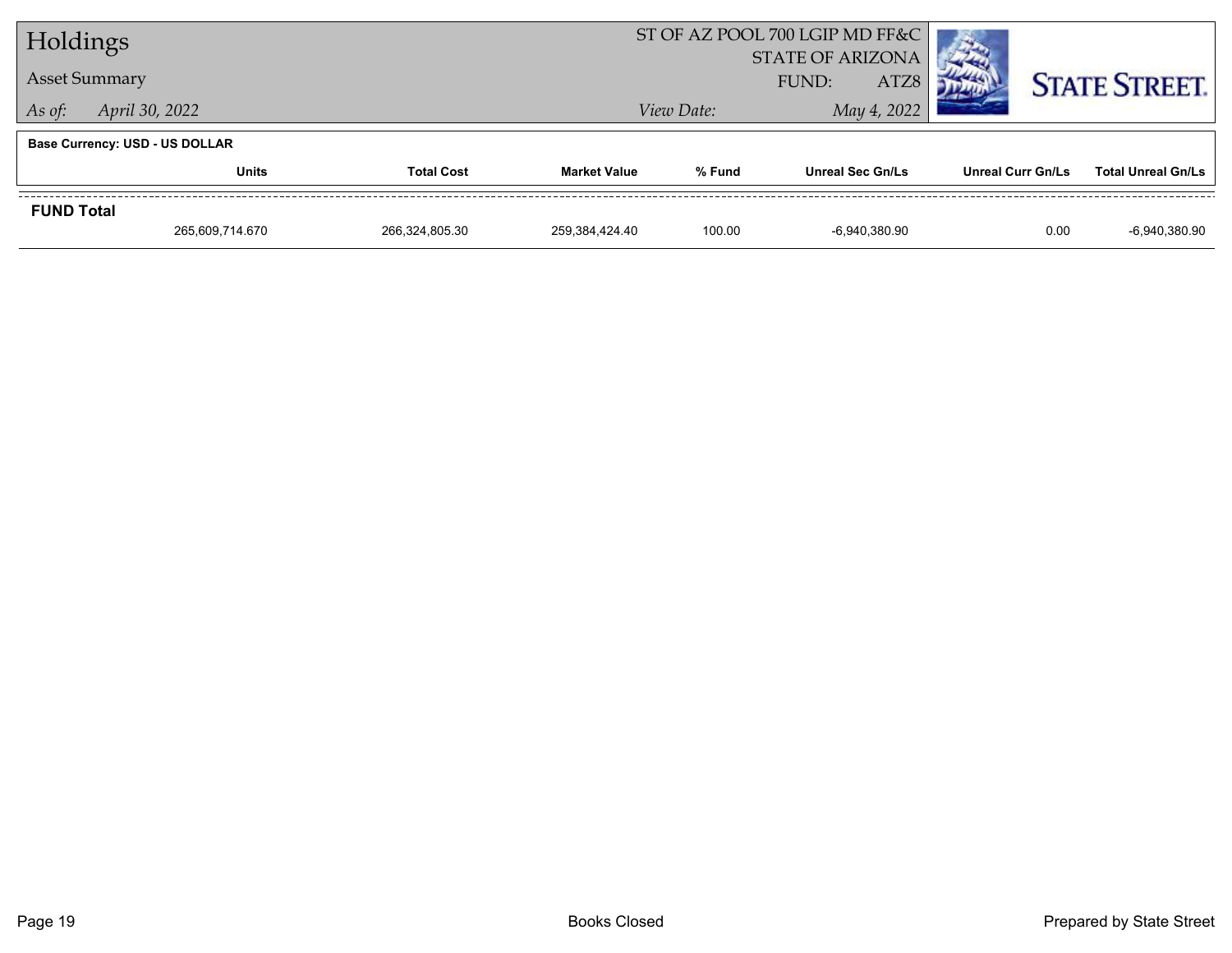| Holdings             |                                       |                   |                     | ST OF AZ POOL 700 LGIP MD FF&C |                         |                   |                           |
|----------------------|---------------------------------------|-------------------|---------------------|--------------------------------|-------------------------|-------------------|---------------------------|
| <b>Asset Summary</b> |                                       |                   |                     |                                | <b>STATE OF ARIZONA</b> |                   |                           |
|                      |                                       |                   |                     |                                | ATZ8<br>FUND:           |                   | <b>STATE STREET.</b>      |
| As of:               | April 30, 2022                        |                   |                     | View Date:                     | May 4, 2022             |                   |                           |
|                      | <b>Base Currency: USD - US DOLLAR</b> |                   |                     |                                |                         |                   |                           |
|                      | <b>Units</b>                          | <b>Total Cost</b> | <b>Market Value</b> | % Fund                         | <b>Unreal Sec Gn/Ls</b> | Unreal Curr Gn/Ls | <b>Total Unreal Gn/Ls</b> |
| <b>FUND Total</b>    |                                       |                   |                     |                                |                         |                   |                           |
|                      | 265.609.714.670                       | 266.324.805.30    | 259.384.424.40      | 100.00                         | $-6.940.380.90$         | 0.00              | $-6,940,380.90$           |